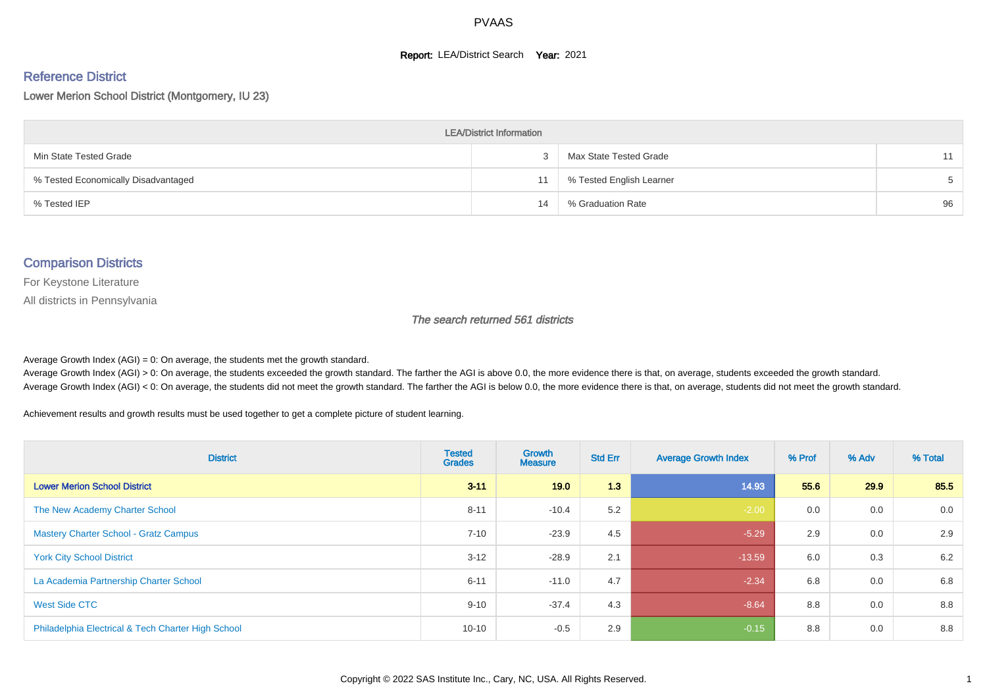#### **Report: LEA/District Search Year: 2021**

#### Reference District

Lower Merion School District (Montgomery, IU 23)

| <b>LEA/District Information</b>     |    |                          |    |  |  |  |  |  |  |
|-------------------------------------|----|--------------------------|----|--|--|--|--|--|--|
| Min State Tested Grade              |    | Max State Tested Grade   | 11 |  |  |  |  |  |  |
| % Tested Economically Disadvantaged | 11 | % Tested English Learner |    |  |  |  |  |  |  |
| % Tested IEP                        | 14 | % Graduation Rate        | 96 |  |  |  |  |  |  |

#### Comparison Districts

For Keystone Literature

All districts in Pennsylvania

The search returned 561 districts

Average Growth Index  $(AGI) = 0$ : On average, the students met the growth standard.

Average Growth Index (AGI) > 0: On average, the students exceeded the growth standard. The farther the AGI is above 0.0, the more evidence there is that, on average, students exceeded the growth standard. Average Growth Index (AGI) < 0: On average, the students did not meet the growth standard. The farther the AGI is below 0.0, the more evidence there is that, on average, students did not meet the growth standard.

Achievement results and growth results must be used together to get a complete picture of student learning.

| <b>District</b>                                    | <b>Tested</b><br><b>Grades</b> | Growth<br><b>Measure</b> | <b>Std Err</b> | <b>Average Growth Index</b> | % Prof | % Adv | % Total |
|----------------------------------------------------|--------------------------------|--------------------------|----------------|-----------------------------|--------|-------|---------|
| <b>Lower Merion School District</b>                | $3 - 11$                       | 19.0                     | 1.3            | 14.93                       | 55.6   | 29.9  | 85.5    |
| The New Academy Charter School                     | $8 - 11$                       | $-10.4$                  | 5.2            | $-2.00$                     | 0.0    | 0.0   | 0.0     |
| <b>Mastery Charter School - Gratz Campus</b>       | $7 - 10$                       | $-23.9$                  | 4.5            | $-5.29$                     | 2.9    | 0.0   | 2.9     |
| <b>York City School District</b>                   | $3 - 12$                       | $-28.9$                  | 2.1            | $-13.59$                    | 6.0    | 0.3   | 6.2     |
| La Academia Partnership Charter School             | $6 - 11$                       | $-11.0$                  | 4.7            | $-2.34$                     | 6.8    | 0.0   | 6.8     |
| West Side CTC                                      | $9 - 10$                       | $-37.4$                  | 4.3            | $-8.64$                     | 8.8    | 0.0   | 8.8     |
| Philadelphia Electrical & Tech Charter High School | $10 - 10$                      | $-0.5$                   | 2.9            | $-0.15$                     | 8.8    | 0.0   | 8.8     |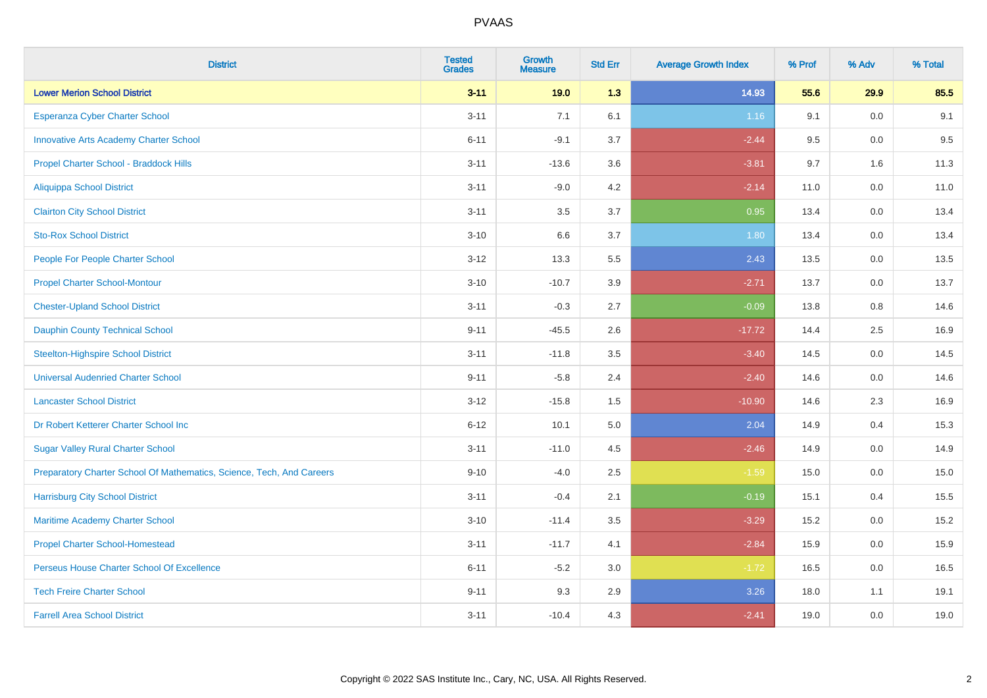| <b>District</b>                                                       | <b>Tested</b><br><b>Grades</b> | <b>Growth</b><br><b>Measure</b> | <b>Std Err</b> | <b>Average Growth Index</b> | % Prof | % Adv | % Total |
|-----------------------------------------------------------------------|--------------------------------|---------------------------------|----------------|-----------------------------|--------|-------|---------|
| <b>Lower Merion School District</b>                                   | $3 - 11$                       | 19.0                            | 1.3            | 14.93                       | 55.6   | 29.9  | 85.5    |
| <b>Esperanza Cyber Charter School</b>                                 | $3 - 11$                       | 7.1                             | 6.1            | 1.16                        | 9.1    | 0.0   | 9.1     |
| <b>Innovative Arts Academy Charter School</b>                         | $6 - 11$                       | $-9.1$                          | 3.7            | $-2.44$                     | 9.5    | 0.0   | 9.5     |
| Propel Charter School - Braddock Hills                                | $3 - 11$                       | $-13.6$                         | 3.6            | $-3.81$                     | 9.7    | 1.6   | 11.3    |
| <b>Aliquippa School District</b>                                      | $3 - 11$                       | $-9.0$                          | 4.2            | $-2.14$                     | 11.0   | 0.0   | 11.0    |
| <b>Clairton City School District</b>                                  | $3 - 11$                       | 3.5                             | 3.7            | 0.95                        | 13.4   | 0.0   | 13.4    |
| <b>Sto-Rox School District</b>                                        | $3 - 10$                       | 6.6                             | 3.7            | 1.80                        | 13.4   | 0.0   | 13.4    |
| People For People Charter School                                      | $3 - 12$                       | 13.3                            | 5.5            | 2.43                        | 13.5   | 0.0   | 13.5    |
| <b>Propel Charter School-Montour</b>                                  | $3 - 10$                       | $-10.7$                         | 3.9            | $-2.71$                     | 13.7   | 0.0   | 13.7    |
| <b>Chester-Upland School District</b>                                 | $3 - 11$                       | $-0.3$                          | 2.7            | $-0.09$                     | 13.8   | 0.8   | 14.6    |
| <b>Dauphin County Technical School</b>                                | $9 - 11$                       | $-45.5$                         | 2.6            | $-17.72$                    | 14.4   | 2.5   | 16.9    |
| <b>Steelton-Highspire School District</b>                             | $3 - 11$                       | $-11.8$                         | 3.5            | $-3.40$                     | 14.5   | 0.0   | 14.5    |
| <b>Universal Audenried Charter School</b>                             | $9 - 11$                       | $-5.8$                          | 2.4            | $-2.40$                     | 14.6   | 0.0   | 14.6    |
| <b>Lancaster School District</b>                                      | $3 - 12$                       | $-15.8$                         | 1.5            | $-10.90$                    | 14.6   | 2.3   | 16.9    |
| Dr Robert Ketterer Charter School Inc                                 | $6 - 12$                       | 10.1                            | 5.0            | 2.04                        | 14.9   | 0.4   | 15.3    |
| <b>Sugar Valley Rural Charter School</b>                              | $3 - 11$                       | $-11.0$                         | 4.5            | $-2.46$                     | 14.9   | 0.0   | 14.9    |
| Preparatory Charter School Of Mathematics, Science, Tech, And Careers | $9 - 10$                       | $-4.0$                          | 2.5            | $-1.59$                     | 15.0   | 0.0   | 15.0    |
| <b>Harrisburg City School District</b>                                | $3 - 11$                       | $-0.4$                          | 2.1            | $-0.19$                     | 15.1   | 0.4   | 15.5    |
| Maritime Academy Charter School                                       | $3 - 10$                       | $-11.4$                         | 3.5            | $-3.29$                     | 15.2   | 0.0   | 15.2    |
| <b>Propel Charter School-Homestead</b>                                | $3 - 11$                       | $-11.7$                         | 4.1            | $-2.84$                     | 15.9   | 0.0   | 15.9    |
| Perseus House Charter School Of Excellence                            | $6 - 11$                       | $-5.2$                          | 3.0            | $-1.72$                     | 16.5   | 0.0   | 16.5    |
| <b>Tech Freire Charter School</b>                                     | $9 - 11$                       | 9.3                             | 2.9            | 3.26                        | 18.0   | 1.1   | 19.1    |
| <b>Farrell Area School District</b>                                   | $3 - 11$                       | $-10.4$                         | 4.3            | $-2.41$                     | 19.0   | 0.0   | 19.0    |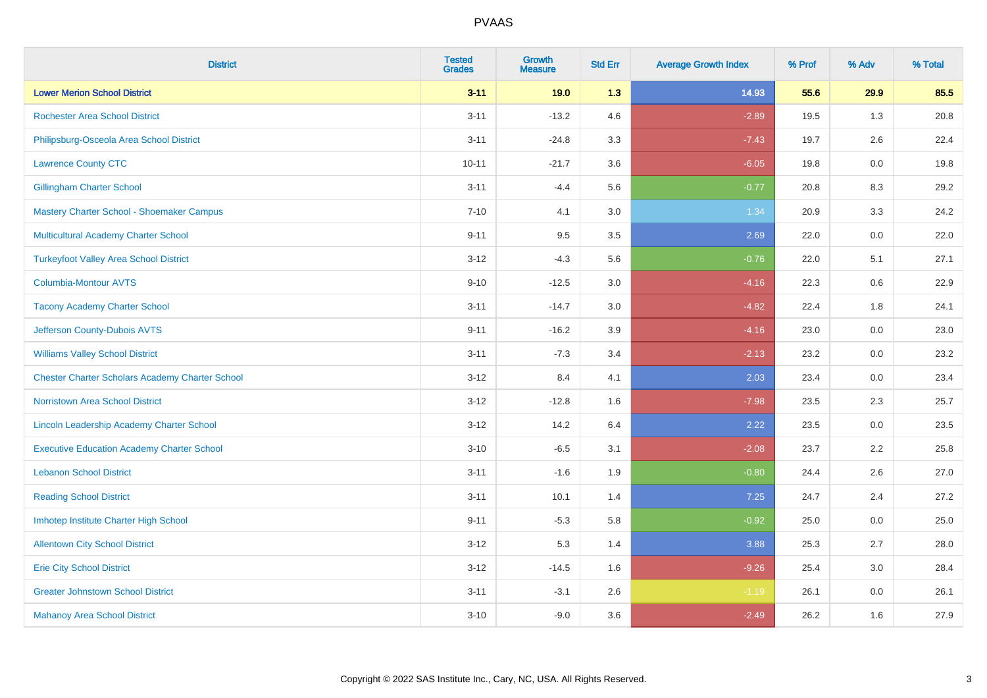| <b>District</b>                                        | <b>Tested</b><br><b>Grades</b> | Growth<br><b>Measure</b> | <b>Std Err</b> | <b>Average Growth Index</b> | % Prof | % Adv   | % Total |
|--------------------------------------------------------|--------------------------------|--------------------------|----------------|-----------------------------|--------|---------|---------|
| <b>Lower Merion School District</b>                    | $3 - 11$                       | 19.0                     | 1.3            | 14.93                       | 55.6   | 29.9    | 85.5    |
| <b>Rochester Area School District</b>                  | $3 - 11$                       | $-13.2$                  | 4.6            | $-2.89$                     | 19.5   | 1.3     | 20.8    |
| Philipsburg-Osceola Area School District               | $3 - 11$                       | $-24.8$                  | 3.3            | $-7.43$                     | 19.7   | 2.6     | 22.4    |
| <b>Lawrence County CTC</b>                             | $10 - 11$                      | $-21.7$                  | 3.6            | $-6.05$                     | 19.8   | 0.0     | 19.8    |
| <b>Gillingham Charter School</b>                       | $3 - 11$                       | $-4.4$                   | 5.6            | $-0.77$                     | 20.8   | 8.3     | 29.2    |
| Mastery Charter School - Shoemaker Campus              | $7 - 10$                       | 4.1                      | 3.0            | 1.34                        | 20.9   | 3.3     | 24.2    |
| Multicultural Academy Charter School                   | $9 - 11$                       | 9.5                      | $3.5\,$        | 2.69                        | 22.0   | $0.0\,$ | 22.0    |
| <b>Turkeyfoot Valley Area School District</b>          | $3 - 12$                       | $-4.3$                   | 5.6            | $-0.76$                     | 22.0   | 5.1     | 27.1    |
| <b>Columbia-Montour AVTS</b>                           | $9 - 10$                       | $-12.5$                  | 3.0            | $-4.16$                     | 22.3   | 0.6     | 22.9    |
| <b>Tacony Academy Charter School</b>                   | $3 - 11$                       | $-14.7$                  | 3.0            | $-4.82$                     | 22.4   | 1.8     | 24.1    |
| Jefferson County-Dubois AVTS                           | $9 - 11$                       | $-16.2$                  | 3.9            | $-4.16$                     | 23.0   | 0.0     | 23.0    |
| <b>Williams Valley School District</b>                 | $3 - 11$                       | $-7.3$                   | 3.4            | $-2.13$                     | 23.2   | 0.0     | 23.2    |
| <b>Chester Charter Scholars Academy Charter School</b> | $3 - 12$                       | 8.4                      | 4.1            | 2.03                        | 23.4   | 0.0     | 23.4    |
| <b>Norristown Area School District</b>                 | $3 - 12$                       | $-12.8$                  | 1.6            | $-7.98$                     | 23.5   | 2.3     | 25.7    |
| Lincoln Leadership Academy Charter School              | $3 - 12$                       | 14.2                     | 6.4            | 2.22                        | 23.5   | 0.0     | 23.5    |
| <b>Executive Education Academy Charter School</b>      | $3 - 10$                       | $-6.5$                   | 3.1            | $-2.08$                     | 23.7   | 2.2     | 25.8    |
| <b>Lebanon School District</b>                         | $3 - 11$                       | $-1.6$                   | 1.9            | $-0.80$                     | 24.4   | 2.6     | 27.0    |
| <b>Reading School District</b>                         | $3 - 11$                       | 10.1                     | 1.4            | 7.25                        | 24.7   | 2.4     | 27.2    |
| Imhotep Institute Charter High School                  | $9 - 11$                       | $-5.3$                   | 5.8            | $-0.92$                     | 25.0   | 0.0     | 25.0    |
| <b>Allentown City School District</b>                  | $3 - 12$                       | 5.3                      | 1.4            | 3.88                        | 25.3   | 2.7     | 28.0    |
| <b>Erie City School District</b>                       | $3 - 12$                       | $-14.5$                  | 1.6            | $-9.26$                     | 25.4   | 3.0     | 28.4    |
| <b>Greater Johnstown School District</b>               | $3 - 11$                       | $-3.1$                   | 2.6            | $-1.19$                     | 26.1   | 0.0     | 26.1    |
| <b>Mahanoy Area School District</b>                    | $3 - 10$                       | $-9.0$                   | 3.6            | $-2.49$                     | 26.2   | 1.6     | 27.9    |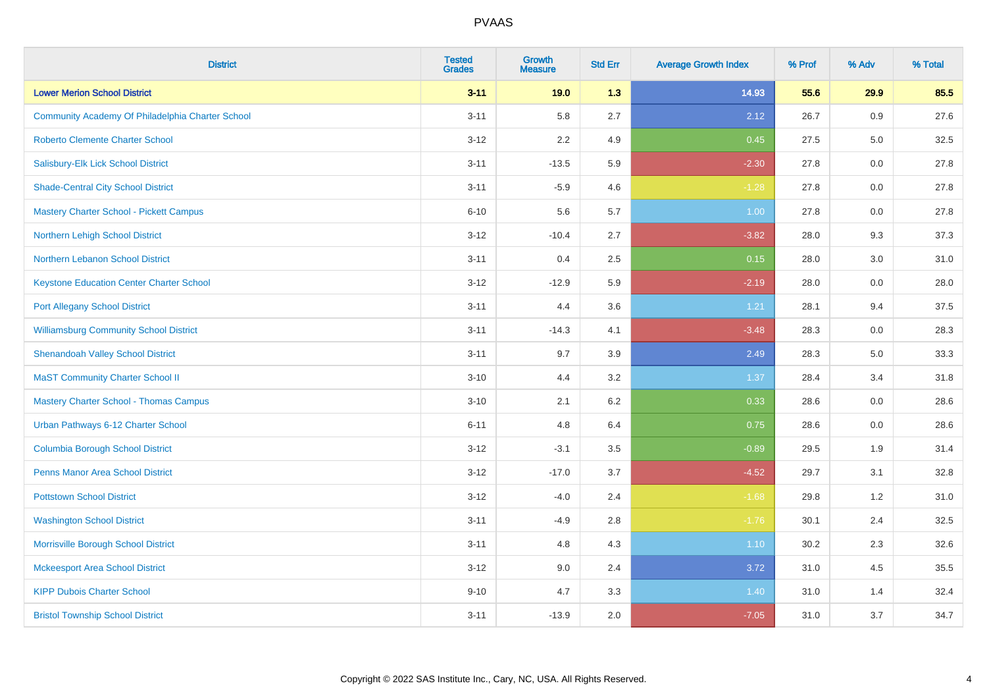| <b>District</b>                                  | <b>Tested</b><br><b>Grades</b> | <b>Growth</b><br><b>Measure</b> | <b>Std Err</b> | <b>Average Growth Index</b> | % Prof | % Adv | % Total |
|--------------------------------------------------|--------------------------------|---------------------------------|----------------|-----------------------------|--------|-------|---------|
| <b>Lower Merion School District</b>              | $3 - 11$                       | 19.0                            | 1.3            | 14.93                       | 55.6   | 29.9  | 85.5    |
| Community Academy Of Philadelphia Charter School | $3 - 11$                       | 5.8                             | 2.7            | 2.12                        | 26.7   | 0.9   | 27.6    |
| <b>Roberto Clemente Charter School</b>           | $3 - 12$                       | 2.2                             | 4.9            | 0.45                        | 27.5   | 5.0   | 32.5    |
| Salisbury-Elk Lick School District               | $3 - 11$                       | $-13.5$                         | 5.9            | $-2.30$                     | 27.8   | 0.0   | 27.8    |
| <b>Shade-Central City School District</b>        | $3 - 11$                       | $-5.9$                          | 4.6            | $-1.28$                     | 27.8   | 0.0   | 27.8    |
| <b>Mastery Charter School - Pickett Campus</b>   | $6 - 10$                       | 5.6                             | 5.7            | 1.00                        | 27.8   | 0.0   | 27.8    |
| Northern Lehigh School District                  | $3 - 12$                       | $-10.4$                         | 2.7            | $-3.82$                     | 28.0   | 9.3   | 37.3    |
| Northern Lebanon School District                 | $3 - 11$                       | 0.4                             | 2.5            | 0.15                        | 28.0   | 3.0   | 31.0    |
| <b>Keystone Education Center Charter School</b>  | $3 - 12$                       | $-12.9$                         | 5.9            | $-2.19$                     | 28.0   | 0.0   | 28.0    |
| <b>Port Allegany School District</b>             | $3 - 11$                       | 4.4                             | 3.6            | 1.21                        | 28.1   | 9.4   | 37.5    |
| <b>Williamsburg Community School District</b>    | $3 - 11$                       | $-14.3$                         | 4.1            | $-3.48$                     | 28.3   | 0.0   | 28.3    |
| <b>Shenandoah Valley School District</b>         | $3 - 11$                       | 9.7                             | 3.9            | 2.49                        | 28.3   | 5.0   | 33.3    |
| <b>MaST Community Charter School II</b>          | $3 - 10$                       | 4.4                             | 3.2            | 1.37                        | 28.4   | 3.4   | 31.8    |
| <b>Mastery Charter School - Thomas Campus</b>    | $3 - 10$                       | 2.1                             | 6.2            | 0.33                        | 28.6   | 0.0   | 28.6    |
| Urban Pathways 6-12 Charter School               | $6 - 11$                       | 4.8                             | 6.4            | 0.75                        | 28.6   | 0.0   | 28.6    |
| <b>Columbia Borough School District</b>          | $3 - 12$                       | $-3.1$                          | 3.5            | $-0.89$                     | 29.5   | 1.9   | 31.4    |
| <b>Penns Manor Area School District</b>          | $3 - 12$                       | $-17.0$                         | 3.7            | $-4.52$                     | 29.7   | 3.1   | 32.8    |
| <b>Pottstown School District</b>                 | $3 - 12$                       | $-4.0$                          | 2.4            | $-1.68$                     | 29.8   | 1.2   | 31.0    |
| <b>Washington School District</b>                | $3 - 11$                       | $-4.9$                          | 2.8            | $-1.76$                     | 30.1   | 2.4   | 32.5    |
| Morrisville Borough School District              | $3 - 11$                       | 4.8                             | 4.3            | $1.10$                      | 30.2   | 2.3   | 32.6    |
| <b>Mckeesport Area School District</b>           | $3 - 12$                       | 9.0                             | 2.4            | 3.72                        | 31.0   | 4.5   | 35.5    |
| <b>KIPP Dubois Charter School</b>                | $9 - 10$                       | 4.7                             | 3.3            | 1.40                        | 31.0   | 1.4   | 32.4    |
| <b>Bristol Township School District</b>          | $3 - 11$                       | $-13.9$                         | 2.0            | $-7.05$                     | 31.0   | 3.7   | 34.7    |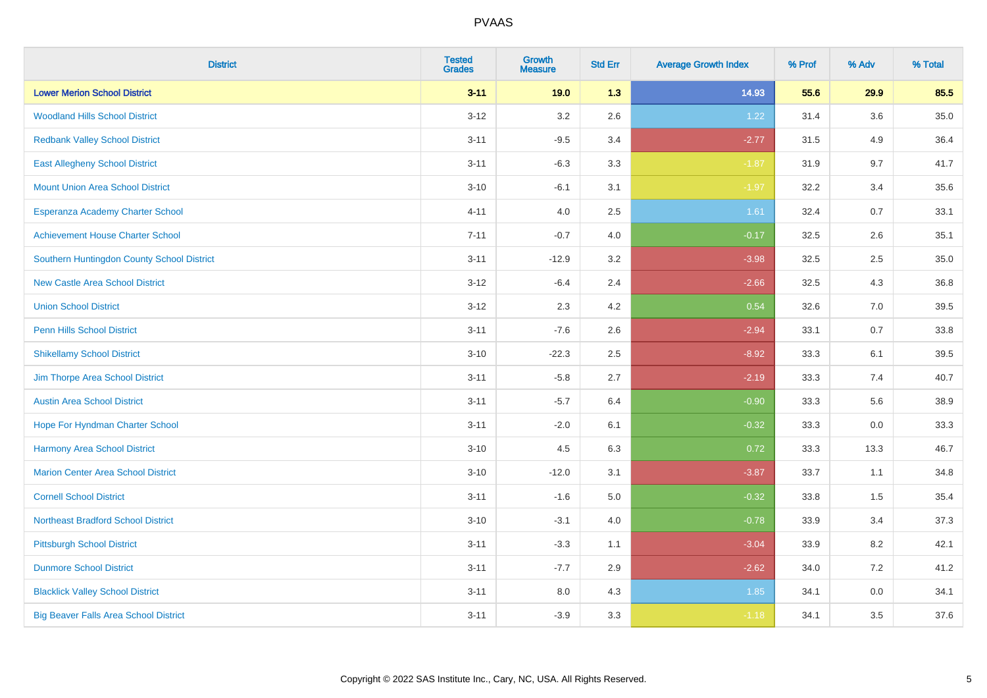| <b>District</b>                              | <b>Tested</b><br><b>Grades</b> | <b>Growth</b><br><b>Measure</b> | <b>Std Err</b> | <b>Average Growth Index</b> | % Prof | % Adv   | % Total  |
|----------------------------------------------|--------------------------------|---------------------------------|----------------|-----------------------------|--------|---------|----------|
| <b>Lower Merion School District</b>          | $3 - 11$                       | 19.0                            | 1.3            | 14.93                       | 55.6   | 29.9    | 85.5     |
| <b>Woodland Hills School District</b>        | $3 - 12$                       | 3.2                             | 2.6            | 1.22                        | 31.4   | $3.6\,$ | $35.0\,$ |
| <b>Redbank Valley School District</b>        | $3 - 11$                       | $-9.5$                          | 3.4            | $-2.77$                     | 31.5   | 4.9     | 36.4     |
| <b>East Allegheny School District</b>        | $3 - 11$                       | $-6.3$                          | 3.3            | $-1.87$                     | 31.9   | 9.7     | 41.7     |
| <b>Mount Union Area School District</b>      | $3 - 10$                       | $-6.1$                          | 3.1            | $-1.97$                     | 32.2   | 3.4     | 35.6     |
| Esperanza Academy Charter School             | $4 - 11$                       | 4.0                             | 2.5            | 1.61                        | 32.4   | 0.7     | 33.1     |
| <b>Achievement House Charter School</b>      | $7 - 11$                       | $-0.7$                          | 4.0            | $-0.17$                     | 32.5   | 2.6     | 35.1     |
| Southern Huntingdon County School District   | $3 - 11$                       | $-12.9$                         | 3.2            | $-3.98$                     | 32.5   | 2.5     | 35.0     |
| <b>New Castle Area School District</b>       | $3 - 12$                       | $-6.4$                          | 2.4            | $-2.66$                     | 32.5   | 4.3     | 36.8     |
| <b>Union School District</b>                 | $3 - 12$                       | 2.3                             | 4.2            | 0.54                        | 32.6   | 7.0     | 39.5     |
| <b>Penn Hills School District</b>            | $3 - 11$                       | $-7.6$                          | 2.6            | $-2.94$                     | 33.1   | 0.7     | 33.8     |
| <b>Shikellamy School District</b>            | $3 - 10$                       | $-22.3$                         | 2.5            | $-8.92$                     | 33.3   | 6.1     | 39.5     |
| Jim Thorpe Area School District              | $3 - 11$                       | $-5.8$                          | 2.7            | $-2.19$                     | 33.3   | 7.4     | 40.7     |
| <b>Austin Area School District</b>           | $3 - 11$                       | $-5.7$                          | 6.4            | $-0.90$                     | 33.3   | 5.6     | 38.9     |
| Hope For Hyndman Charter School              | $3 - 11$                       | $-2.0$                          | 6.1            | $-0.32$                     | 33.3   | 0.0     | 33.3     |
| Harmony Area School District                 | $3 - 10$                       | 4.5                             | 6.3            | 0.72                        | 33.3   | 13.3    | 46.7     |
| <b>Marion Center Area School District</b>    | $3 - 10$                       | $-12.0$                         | 3.1            | $-3.87$                     | 33.7   | 1.1     | 34.8     |
| <b>Cornell School District</b>               | $3 - 11$                       | $-1.6$                          | 5.0            | $-0.32$                     | 33.8   | 1.5     | 35.4     |
| <b>Northeast Bradford School District</b>    | $3 - 10$                       | $-3.1$                          | $4.0$          | $-0.78$                     | 33.9   | 3.4     | 37.3     |
| <b>Pittsburgh School District</b>            | $3 - 11$                       | $-3.3$                          | 1.1            | $-3.04$                     | 33.9   | 8.2     | 42.1     |
| <b>Dunmore School District</b>               | $3 - 11$                       | $-7.7$                          | 2.9            | $-2.62$                     | 34.0   | 7.2     | 41.2     |
| <b>Blacklick Valley School District</b>      | $3 - 11$                       | 8.0                             | 4.3            | 1.85                        | 34.1   | 0.0     | 34.1     |
| <b>Big Beaver Falls Area School District</b> | $3 - 11$                       | $-3.9$                          | 3.3            | $-1.18$                     | 34.1   | 3.5     | 37.6     |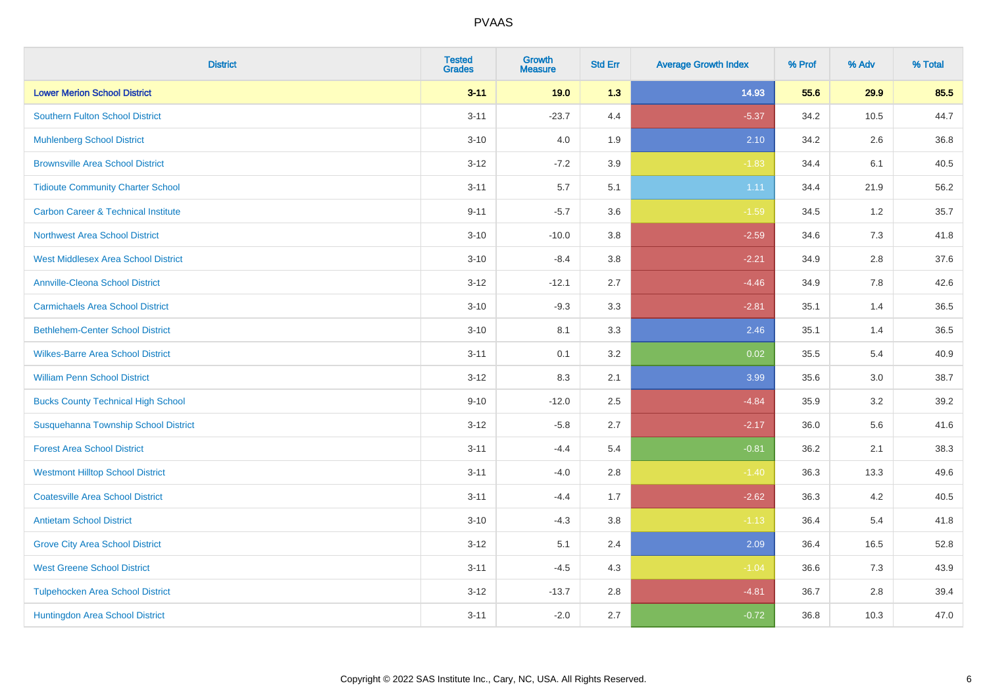| <b>District</b>                                | <b>Tested</b><br><b>Grades</b> | <b>Growth</b><br><b>Measure</b> | <b>Std Err</b> | <b>Average Growth Index</b> | % Prof | % Adv   | % Total |
|------------------------------------------------|--------------------------------|---------------------------------|----------------|-----------------------------|--------|---------|---------|
| <b>Lower Merion School District</b>            | $3 - 11$                       | 19.0                            | 1.3            | 14.93                       | 55.6   | 29.9    | 85.5    |
| <b>Southern Fulton School District</b>         | $3 - 11$                       | $-23.7$                         | 4.4            | $-5.37$                     | 34.2   | 10.5    | 44.7    |
| <b>Muhlenberg School District</b>              | $3 - 10$                       | 4.0                             | 1.9            | 2.10                        | 34.2   | 2.6     | 36.8    |
| <b>Brownsville Area School District</b>        | $3-12$                         | $-7.2$                          | 3.9            | $-1.83$                     | 34.4   | 6.1     | 40.5    |
| <b>Tidioute Community Charter School</b>       | $3 - 11$                       | 5.7                             | 5.1            | 1.11                        | 34.4   | 21.9    | 56.2    |
| <b>Carbon Career &amp; Technical Institute</b> | $9 - 11$                       | $-5.7$                          | 3.6            | $-1.59$                     | 34.5   | 1.2     | 35.7    |
| <b>Northwest Area School District</b>          | $3 - 10$                       | $-10.0$                         | 3.8            | $-2.59$                     | 34.6   | $7.3$   | 41.8    |
| <b>West Middlesex Area School District</b>     | $3 - 10$                       | $-8.4$                          | 3.8            | $-2.21$                     | 34.9   | 2.8     | 37.6    |
| <b>Annville-Cleona School District</b>         | $3 - 12$                       | $-12.1$                         | 2.7            | $-4.46$                     | 34.9   | 7.8     | 42.6    |
| <b>Carmichaels Area School District</b>        | $3 - 10$                       | $-9.3$                          | 3.3            | $-2.81$                     | 35.1   | 1.4     | 36.5    |
| <b>Bethlehem-Center School District</b>        | $3 - 10$                       | 8.1                             | 3.3            | 2.46                        | 35.1   | 1.4     | 36.5    |
| <b>Wilkes-Barre Area School District</b>       | $3 - 11$                       | 0.1                             | 3.2            | 0.02                        | 35.5   | 5.4     | 40.9    |
| <b>William Penn School District</b>            | $3 - 12$                       | 8.3                             | 2.1            | 3.99                        | 35.6   | $3.0\,$ | 38.7    |
| <b>Bucks County Technical High School</b>      | $9 - 10$                       | $-12.0$                         | 2.5            | $-4.84$                     | 35.9   | 3.2     | 39.2    |
| Susquehanna Township School District           | $3 - 12$                       | $-5.8$                          | 2.7            | $-2.17$                     | 36.0   | 5.6     | 41.6    |
| <b>Forest Area School District</b>             | $3 - 11$                       | $-4.4$                          | 5.4            | $-0.81$                     | 36.2   | 2.1     | 38.3    |
| <b>Westmont Hilltop School District</b>        | $3 - 11$                       | $-4.0$                          | 2.8            | $-1.40$                     | 36.3   | 13.3    | 49.6    |
| <b>Coatesville Area School District</b>        | $3 - 11$                       | $-4.4$                          | 1.7            | $-2.62$                     | 36.3   | 4.2     | 40.5    |
| <b>Antietam School District</b>                | $3 - 10$                       | $-4.3$                          | 3.8            | $-1.13$                     | 36.4   | 5.4     | 41.8    |
| <b>Grove City Area School District</b>         | $3 - 12$                       | 5.1                             | 2.4            | 2.09                        | 36.4   | 16.5    | 52.8    |
| <b>West Greene School District</b>             | $3 - 11$                       | $-4.5$                          | 4.3            | $-1.04$                     | 36.6   | 7.3     | 43.9    |
| <b>Tulpehocken Area School District</b>        | $3 - 12$                       | $-13.7$                         | 2.8            | $-4.81$                     | 36.7   | 2.8     | 39.4    |
| Huntingdon Area School District                | $3 - 11$                       | $-2.0$                          | 2.7            | $-0.72$                     | 36.8   | 10.3    | 47.0    |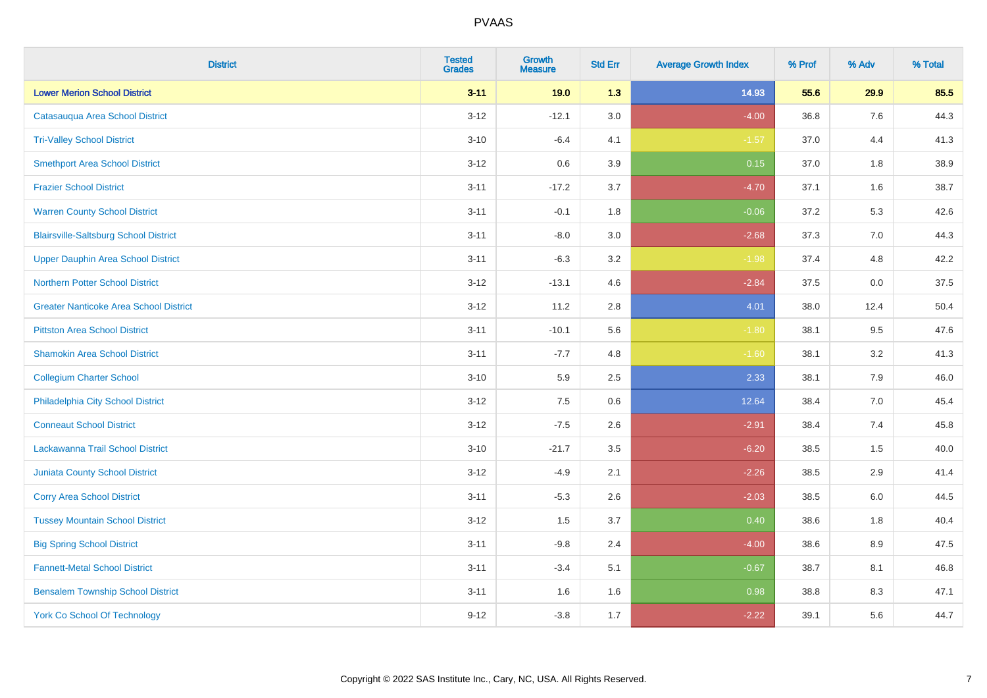| <b>District</b>                               | <b>Tested</b><br><b>Grades</b> | <b>Growth</b><br><b>Measure</b> | <b>Std Err</b> | <b>Average Growth Index</b> | % Prof | % Adv | % Total |
|-----------------------------------------------|--------------------------------|---------------------------------|----------------|-----------------------------|--------|-------|---------|
| <b>Lower Merion School District</b>           | $3 - 11$                       | 19.0                            | 1.3            | 14.93                       | 55.6   | 29.9  | 85.5    |
| Catasauqua Area School District               | $3 - 12$                       | $-12.1$                         | 3.0            | $-4.00$                     | 36.8   | 7.6   | 44.3    |
| <b>Tri-Valley School District</b>             | $3 - 10$                       | $-6.4$                          | 4.1            | $-1.57$                     | 37.0   | 4.4   | 41.3    |
| <b>Smethport Area School District</b>         | $3 - 12$                       | 0.6                             | 3.9            | 0.15                        | 37.0   | 1.8   | 38.9    |
| <b>Frazier School District</b>                | $3 - 11$                       | $-17.2$                         | 3.7            | $-4.70$                     | 37.1   | 1.6   | 38.7    |
| <b>Warren County School District</b>          | $3 - 11$                       | $-0.1$                          | 1.8            | $-0.06$                     | 37.2   | 5.3   | 42.6    |
| <b>Blairsville-Saltsburg School District</b>  | $3 - 11$                       | $-8.0$                          | 3.0            | $-2.68$                     | 37.3   | 7.0   | 44.3    |
| <b>Upper Dauphin Area School District</b>     | $3 - 11$                       | $-6.3$                          | 3.2            | $-1.98$                     | 37.4   | 4.8   | 42.2    |
| <b>Northern Potter School District</b>        | $3 - 12$                       | $-13.1$                         | 4.6            | $-2.84$                     | 37.5   | 0.0   | 37.5    |
| <b>Greater Nanticoke Area School District</b> | $3 - 12$                       | 11.2                            | 2.8            | 4.01                        | 38.0   | 12.4  | 50.4    |
| <b>Pittston Area School District</b>          | $3 - 11$                       | $-10.1$                         | 5.6            | $-1.80$                     | 38.1   | 9.5   | 47.6    |
| <b>Shamokin Area School District</b>          | $3 - 11$                       | $-7.7$                          | 4.8            | $-1.60$                     | 38.1   | 3.2   | 41.3    |
| <b>Collegium Charter School</b>               | $3 - 10$                       | 5.9                             | 2.5            | 2.33                        | 38.1   | $7.9$ | 46.0    |
| Philadelphia City School District             | $3 - 12$                       | 7.5                             | 0.6            | 12.64                       | 38.4   | 7.0   | 45.4    |
| <b>Conneaut School District</b>               | $3 - 12$                       | $-7.5$                          | 2.6            | $-2.91$                     | 38.4   | 7.4   | 45.8    |
| Lackawanna Trail School District              | $3 - 10$                       | $-21.7$                         | 3.5            | $-6.20$                     | 38.5   | 1.5   | 40.0    |
| <b>Juniata County School District</b>         | $3 - 12$                       | $-4.9$                          | 2.1            | $-2.26$                     | 38.5   | 2.9   | 41.4    |
| <b>Corry Area School District</b>             | $3 - 11$                       | $-5.3$                          | 2.6            | $-2.03$                     | 38.5   | 6.0   | 44.5    |
| <b>Tussey Mountain School District</b>        | $3 - 12$                       | 1.5                             | 3.7            | 0.40                        | 38.6   | 1.8   | 40.4    |
| <b>Big Spring School District</b>             | $3 - 11$                       | $-9.8$                          | 2.4            | $-4.00$                     | 38.6   | 8.9   | 47.5    |
| <b>Fannett-Metal School District</b>          | $3 - 11$                       | $-3.4$                          | 5.1            | $-0.67$                     | 38.7   | 8.1   | 46.8    |
| <b>Bensalem Township School District</b>      | $3 - 11$                       | 1.6                             | 1.6            | 0.98                        | 38.8   | 8.3   | 47.1    |
| <b>York Co School Of Technology</b>           | $9 - 12$                       | $-3.8$                          | 1.7            | $-2.22$                     | 39.1   | 5.6   | 44.7    |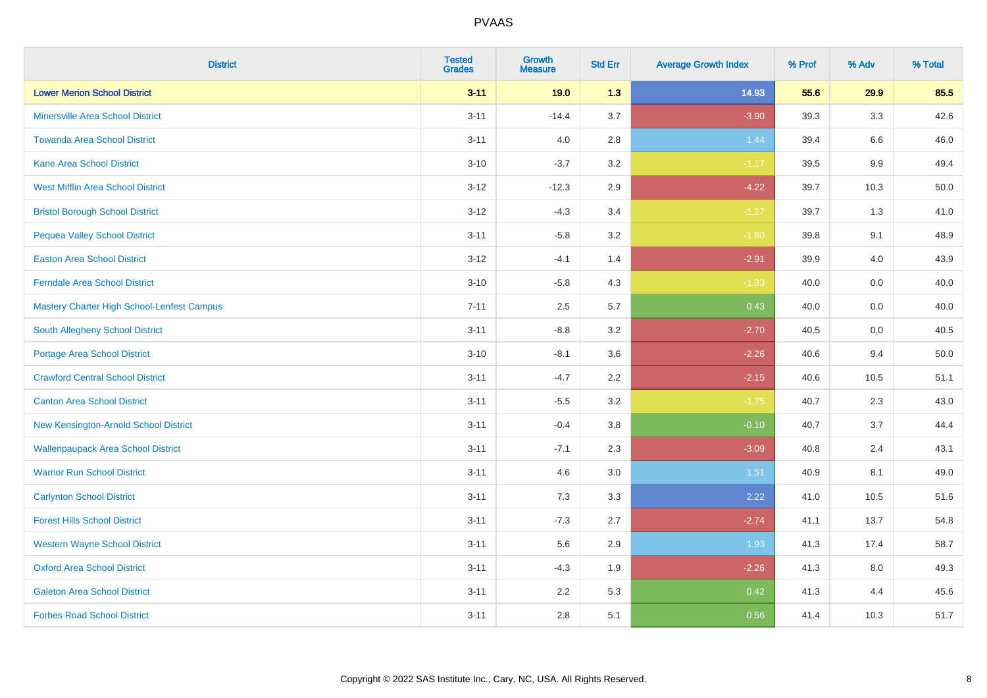| <b>District</b>                            | <b>Tested</b><br><b>Grades</b> | <b>Growth</b><br><b>Measure</b> | <b>Std Err</b> | <b>Average Growth Index</b> | % Prof | % Adv   | % Total |
|--------------------------------------------|--------------------------------|---------------------------------|----------------|-----------------------------|--------|---------|---------|
| <b>Lower Merion School District</b>        | $3 - 11$                       | 19.0                            | 1.3            | 14.93                       | 55.6   | 29.9    | 85.5    |
| <b>Minersville Area School District</b>    | $3 - 11$                       | $-14.4$                         | 3.7            | $-3.90$                     | 39.3   | 3.3     | 42.6    |
| <b>Towanda Area School District</b>        | $3 - 11$                       | 4.0                             | 2.8            | 1.44                        | 39.4   | 6.6     | 46.0    |
| <b>Kane Area School District</b>           | $3 - 10$                       | $-3.7$                          | 3.2            | $-1.17$                     | 39.5   | $9.9\,$ | 49.4    |
| <b>West Mifflin Area School District</b>   | $3 - 12$                       | $-12.3$                         | 2.9            | $-4.22$                     | 39.7   | 10.3    | 50.0    |
| <b>Bristol Borough School District</b>     | $3 - 12$                       | $-4.3$                          | 3.4            | $-1.27$                     | 39.7   | 1.3     | 41.0    |
| <b>Pequea Valley School District</b>       | $3 - 11$                       | $-5.8$                          | 3.2            | $-1.80$                     | 39.8   | 9.1     | 48.9    |
| <b>Easton Area School District</b>         | $3 - 12$                       | $-4.1$                          | 1.4            | $-2.91$                     | 39.9   | 4.0     | 43.9    |
| <b>Ferndale Area School District</b>       | $3 - 10$                       | $-5.8$                          | 4.3            | $-1.33$                     | 40.0   | 0.0     | 40.0    |
| Mastery Charter High School-Lenfest Campus | $7 - 11$                       | 2.5                             | 5.7            | 0.43                        | 40.0   | 0.0     | 40.0    |
| South Allegheny School District            | $3 - 11$                       | $-8.8$                          | 3.2            | $-2.70$                     | 40.5   | 0.0     | 40.5    |
| <b>Portage Area School District</b>        | $3 - 10$                       | $-8.1$                          | 3.6            | $-2.26$                     | 40.6   | 9.4     | 50.0    |
| <b>Crawford Central School District</b>    | $3 - 11$                       | $-4.7$                          | 2.2            | $-2.15$                     | 40.6   | 10.5    | 51.1    |
| <b>Canton Area School District</b>         | $3 - 11$                       | $-5.5$                          | 3.2            | $-1.75$                     | 40.7   | 2.3     | 43.0    |
| New Kensington-Arnold School District      | $3 - 11$                       | $-0.4$                          | 3.8            | $-0.10$                     | 40.7   | 3.7     | 44.4    |
| <b>Wallenpaupack Area School District</b>  | $3 - 11$                       | $-7.1$                          | 2.3            | $-3.09$                     | 40.8   | 2.4     | 43.1    |
| <b>Warrior Run School District</b>         | $3 - 11$                       | 4.6                             | 3.0            | 1.51                        | 40.9   | 8.1     | 49.0    |
| <b>Carlynton School District</b>           | $3 - 11$                       | 7.3                             | 3.3            | 2.22                        | 41.0   | 10.5    | 51.6    |
| <b>Forest Hills School District</b>        | $3 - 11$                       | $-7.3$                          | 2.7            | $-2.74$                     | 41.1   | 13.7    | 54.8    |
| <b>Western Wayne School District</b>       | $3 - 11$                       | 5.6                             | 2.9            | 1.93                        | 41.3   | 17.4    | 58.7    |
| <b>Oxford Area School District</b>         | $3 - 11$                       | $-4.3$                          | 1.9            | $-2.26$                     | 41.3   | 8.0     | 49.3    |
| <b>Galeton Area School District</b>        | $3 - 11$                       | 2.2                             | 5.3            | 0.42                        | 41.3   | 4.4     | 45.6    |
| <b>Forbes Road School District</b>         | $3 - 11$                       | 2.8                             | 5.1            | 0.56                        | 41.4   | 10.3    | 51.7    |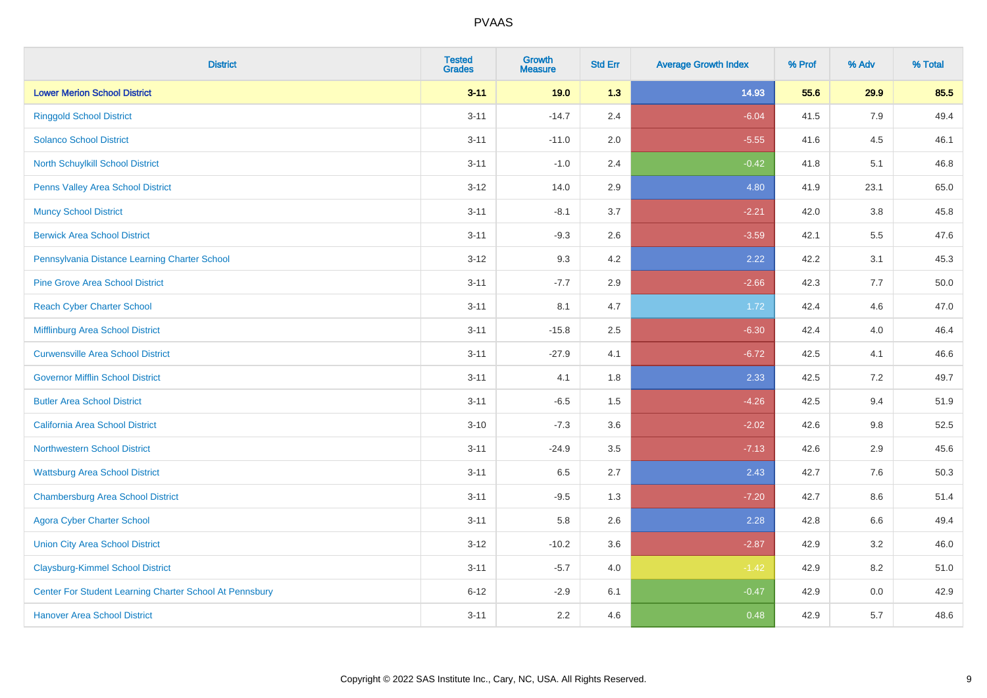| <b>District</b>                                         | <b>Tested</b><br><b>Grades</b> | Growth<br><b>Measure</b> | <b>Std Err</b> | <b>Average Growth Index</b> | % Prof | % Adv   | % Total |
|---------------------------------------------------------|--------------------------------|--------------------------|----------------|-----------------------------|--------|---------|---------|
| <b>Lower Merion School District</b>                     | $3 - 11$                       | 19.0                     | 1.3            | 14.93                       | 55.6   | 29.9    | 85.5    |
| <b>Ringgold School District</b>                         | $3 - 11$                       | $-14.7$                  | 2.4            | $-6.04$                     | 41.5   | 7.9     | 49.4    |
| <b>Solanco School District</b>                          | $3 - 11$                       | $-11.0$                  | 2.0            | $-5.55$                     | 41.6   | 4.5     | 46.1    |
| <b>North Schuylkill School District</b>                 | $3 - 11$                       | $-1.0$                   | 2.4            | $-0.42$                     | 41.8   | 5.1     | 46.8    |
| Penns Valley Area School District                       | $3 - 12$                       | 14.0                     | 2.9            | 4.80                        | 41.9   | 23.1    | 65.0    |
| <b>Muncy School District</b>                            | $3 - 11$                       | $-8.1$                   | 3.7            | $-2.21$                     | 42.0   | 3.8     | 45.8    |
| <b>Berwick Area School District</b>                     | $3 - 11$                       | $-9.3$                   | 2.6            | $-3.59$                     | 42.1   | 5.5     | 47.6    |
| Pennsylvania Distance Learning Charter School           | $3 - 12$                       | 9.3                      | 4.2            | 2.22                        | 42.2   | 3.1     | 45.3    |
| <b>Pine Grove Area School District</b>                  | $3 - 11$                       | $-7.7$                   | 2.9            | $-2.66$                     | 42.3   | 7.7     | 50.0    |
| <b>Reach Cyber Charter School</b>                       | $3 - 11$                       | 8.1                      | 4.7            | 1.72                        | 42.4   | 4.6     | 47.0    |
| Mifflinburg Area School District                        | $3 - 11$                       | $-15.8$                  | 2.5            | $-6.30$                     | 42.4   | 4.0     | 46.4    |
| <b>Curwensville Area School District</b>                | $3 - 11$                       | $-27.9$                  | 4.1            | $-6.72$                     | 42.5   | 4.1     | 46.6    |
| <b>Governor Mifflin School District</b>                 | $3 - 11$                       | 4.1                      | 1.8            | 2.33                        | 42.5   | 7.2     | 49.7    |
| <b>Butler Area School District</b>                      | $3 - 11$                       | $-6.5$                   | 1.5            | $-4.26$                     | 42.5   | 9.4     | 51.9    |
| <b>California Area School District</b>                  | $3 - 10$                       | $-7.3$                   | 3.6            | $-2.02$                     | 42.6   | 9.8     | 52.5    |
| <b>Northwestern School District</b>                     | $3 - 11$                       | $-24.9$                  | 3.5            | $-7.13$                     | 42.6   | 2.9     | 45.6    |
| <b>Wattsburg Area School District</b>                   | $3 - 11$                       | 6.5                      | 2.7            | 2.43                        | 42.7   | 7.6     | 50.3    |
| <b>Chambersburg Area School District</b>                | $3 - 11$                       | $-9.5$                   | 1.3            | $-7.20$                     | 42.7   | 8.6     | 51.4    |
| <b>Agora Cyber Charter School</b>                       | $3 - 11$                       | 5.8                      | 2.6            | 2.28                        | 42.8   | $6.6\,$ | 49.4    |
| <b>Union City Area School District</b>                  | $3 - 12$                       | $-10.2$                  | 3.6            | $-2.87$                     | 42.9   | 3.2     | 46.0    |
| <b>Claysburg-Kimmel School District</b>                 | $3 - 11$                       | $-5.7$                   | 4.0            | $-1.42$                     | 42.9   | 8.2     | 51.0    |
| Center For Student Learning Charter School At Pennsbury | $6 - 12$                       | $-2.9$                   | 6.1            | $-0.47$                     | 42.9   | 0.0     | 42.9    |
| <b>Hanover Area School District</b>                     | $3 - 11$                       | 2.2                      | 4.6            | 0.48                        | 42.9   | 5.7     | 48.6    |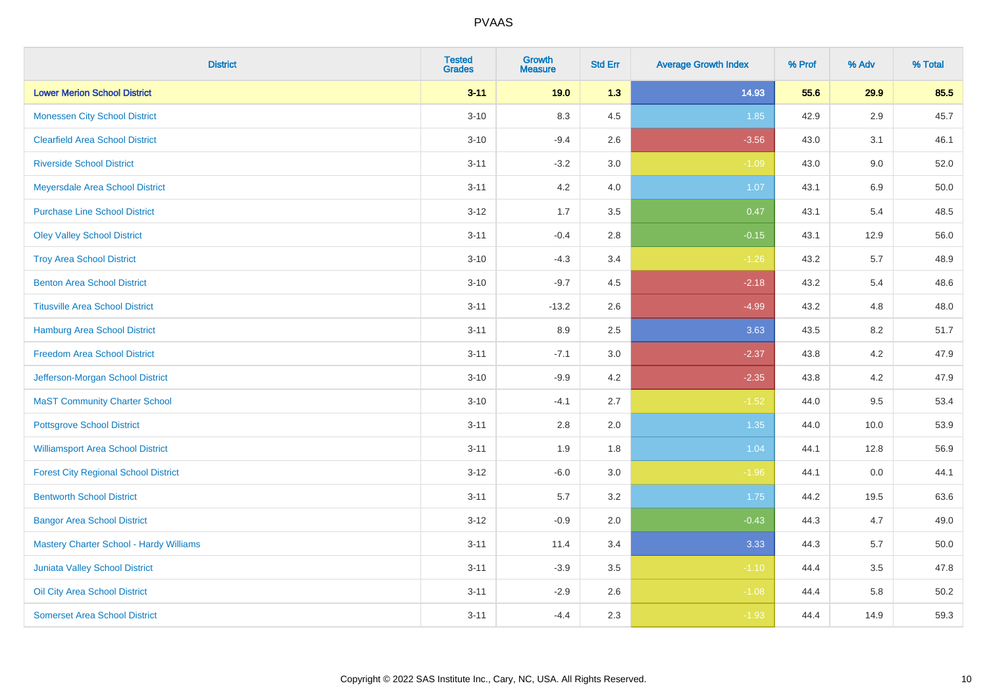| <b>District</b>                                | <b>Tested</b><br><b>Grades</b> | <b>Growth</b><br><b>Measure</b> | <b>Std Err</b> | <b>Average Growth Index</b> | % Prof | % Adv   | % Total |
|------------------------------------------------|--------------------------------|---------------------------------|----------------|-----------------------------|--------|---------|---------|
| <b>Lower Merion School District</b>            | $3 - 11$                       | 19.0                            | 1.3            | 14.93                       | 55.6   | 29.9    | 85.5    |
| <b>Monessen City School District</b>           | $3 - 10$                       | 8.3                             | 4.5            | 1.85                        | 42.9   | 2.9     | 45.7    |
| <b>Clearfield Area School District</b>         | $3 - 10$                       | $-9.4$                          | 2.6            | $-3.56$                     | 43.0   | 3.1     | 46.1    |
| <b>Riverside School District</b>               | $3 - 11$                       | $-3.2$                          | $3.0\,$        | $-1.09$                     | 43.0   | $9.0\,$ | 52.0    |
| Meyersdale Area School District                | $3 - 11$                       | 4.2                             | 4.0            | 1.07                        | 43.1   | 6.9     | 50.0    |
| <b>Purchase Line School District</b>           | $3 - 12$                       | 1.7                             | 3.5            | 0.47                        | 43.1   | 5.4     | 48.5    |
| <b>Oley Valley School District</b>             | $3 - 11$                       | $-0.4$                          | 2.8            | $-0.15$                     | 43.1   | 12.9    | 56.0    |
| <b>Troy Area School District</b>               | $3 - 10$                       | $-4.3$                          | 3.4            | $-1.26$                     | 43.2   | 5.7     | 48.9    |
| <b>Benton Area School District</b>             | $3 - 10$                       | $-9.7$                          | 4.5            | $-2.18$                     | 43.2   | 5.4     | 48.6    |
| <b>Titusville Area School District</b>         | $3 - 11$                       | $-13.2$                         | 2.6            | $-4.99$                     | 43.2   | 4.8     | 48.0    |
| <b>Hamburg Area School District</b>            | $3 - 11$                       | 8.9                             | 2.5            | 3.63                        | 43.5   | 8.2     | 51.7    |
| <b>Freedom Area School District</b>            | $3 - 11$                       | $-7.1$                          | 3.0            | $-2.37$                     | 43.8   | 4.2     | 47.9    |
| Jefferson-Morgan School District               | $3 - 10$                       | $-9.9$                          | 4.2            | $-2.35$                     | 43.8   | 4.2     | 47.9    |
| <b>MaST Community Charter School</b>           | $3 - 10$                       | $-4.1$                          | 2.7            | $-1.52$                     | 44.0   | 9.5     | 53.4    |
| <b>Pottsgrove School District</b>              | $3 - 11$                       | 2.8                             | 2.0            | 1.35                        | 44.0   | 10.0    | 53.9    |
| <b>Williamsport Area School District</b>       | $3 - 11$                       | 1.9                             | 1.8            | 1.04                        | 44.1   | 12.8    | 56.9    |
| <b>Forest City Regional School District</b>    | $3 - 12$                       | $-6.0$                          | 3.0            | $-1.96$                     | 44.1   | 0.0     | 44.1    |
| <b>Bentworth School District</b>               | $3 - 11$                       | 5.7                             | 3.2            | 1.75                        | 44.2   | 19.5    | 63.6    |
| <b>Bangor Area School District</b>             | $3 - 12$                       | $-0.9$                          | 2.0            | $-0.43$                     | 44.3   | 4.7     | 49.0    |
| <b>Mastery Charter School - Hardy Williams</b> | $3 - 11$                       | 11.4                            | 3.4            | 3.33                        | 44.3   | 5.7     | 50.0    |
| <b>Juniata Valley School District</b>          | $3 - 11$                       | $-3.9$                          | 3.5            | $-1.10$                     | 44.4   | 3.5     | 47.8    |
| Oil City Area School District                  | $3 - 11$                       | $-2.9$                          | 2.6            | $-1.08$                     | 44.4   | 5.8     | 50.2    |
| <b>Somerset Area School District</b>           | $3 - 11$                       | $-4.4$                          | 2.3            | $-1.93$                     | 44.4   | 14.9    | 59.3    |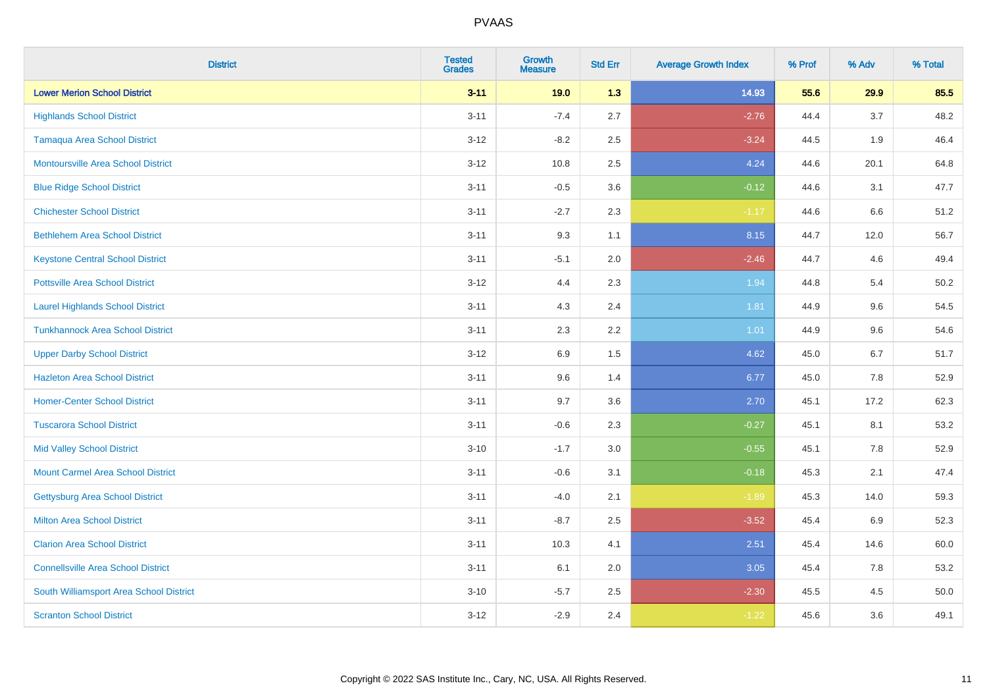| <b>District</b>                           | <b>Tested</b><br><b>Grades</b> | <b>Growth</b><br><b>Measure</b> | <b>Std Err</b> | <b>Average Growth Index</b> | % Prof | % Adv | % Total |
|-------------------------------------------|--------------------------------|---------------------------------|----------------|-----------------------------|--------|-------|---------|
| <b>Lower Merion School District</b>       | $3 - 11$                       | 19.0                            | 1.3            | 14.93                       | 55.6   | 29.9  | 85.5    |
| <b>Highlands School District</b>          | $3 - 11$                       | $-7.4$                          | 2.7            | $-2.76$                     | 44.4   | 3.7   | 48.2    |
| <b>Tamaqua Area School District</b>       | $3 - 12$                       | $-8.2$                          | 2.5            | $-3.24$                     | 44.5   | 1.9   | 46.4    |
| Montoursville Area School District        | $3 - 12$                       | 10.8                            | 2.5            | 4.24                        | 44.6   | 20.1  | 64.8    |
| <b>Blue Ridge School District</b>         | $3 - 11$                       | $-0.5$                          | 3.6            | $-0.12$                     | 44.6   | 3.1   | 47.7    |
| <b>Chichester School District</b>         | $3 - 11$                       | $-2.7$                          | 2.3            | $-1.17$                     | 44.6   | 6.6   | 51.2    |
| <b>Bethlehem Area School District</b>     | $3 - 11$                       | 9.3                             | 1.1            | 8.15                        | 44.7   | 12.0  | 56.7    |
| <b>Keystone Central School District</b>   | $3 - 11$                       | $-5.1$                          | 2.0            | $-2.46$                     | 44.7   | 4.6   | 49.4    |
| <b>Pottsville Area School District</b>    | $3 - 12$                       | 4.4                             | 2.3            | 1.94                        | 44.8   | 5.4   | 50.2    |
| <b>Laurel Highlands School District</b>   | $3 - 11$                       | 4.3                             | 2.4            | 1.81                        | 44.9   | 9.6   | 54.5    |
| <b>Tunkhannock Area School District</b>   | $3 - 11$                       | 2.3                             | 2.2            | 1.01                        | 44.9   | 9.6   | 54.6    |
| <b>Upper Darby School District</b>        | $3 - 12$                       | 6.9                             | 1.5            | 4.62                        | 45.0   | 6.7   | 51.7    |
| <b>Hazleton Area School District</b>      | $3 - 11$                       | 9.6                             | 1.4            | 6.77                        | 45.0   | 7.8   | 52.9    |
| <b>Homer-Center School District</b>       | $3 - 11$                       | 9.7                             | 3.6            | 2.70                        | 45.1   | 17.2  | 62.3    |
| <b>Tuscarora School District</b>          | $3 - 11$                       | $-0.6$                          | 2.3            | $-0.27$                     | 45.1   | 8.1   | 53.2    |
| <b>Mid Valley School District</b>         | $3 - 10$                       | $-1.7$                          | 3.0            | $-0.55$                     | 45.1   | 7.8   | 52.9    |
| <b>Mount Carmel Area School District</b>  | $3 - 11$                       | $-0.6$                          | 3.1            | $-0.18$                     | 45.3   | 2.1   | 47.4    |
| Gettysburg Area School District           | $3 - 11$                       | $-4.0$                          | 2.1            | $-1.89$                     | 45.3   | 14.0  | 59.3    |
| <b>Milton Area School District</b>        | $3 - 11$                       | $-8.7$                          | 2.5            | $-3.52$                     | 45.4   | 6.9   | 52.3    |
| <b>Clarion Area School District</b>       | $3 - 11$                       | 10.3                            | 4.1            | 2.51                        | 45.4   | 14.6  | 60.0    |
| <b>Connellsville Area School District</b> | $3 - 11$                       | 6.1                             | 2.0            | 3.05                        | 45.4   | 7.8   | 53.2    |
| South Williamsport Area School District   | $3 - 10$                       | $-5.7$                          | 2.5            | $-2.30$                     | 45.5   | 4.5   | 50.0    |
| <b>Scranton School District</b>           | $3 - 12$                       | $-2.9$                          | 2.4            | $-1.22$                     | 45.6   | 3.6   | 49.1    |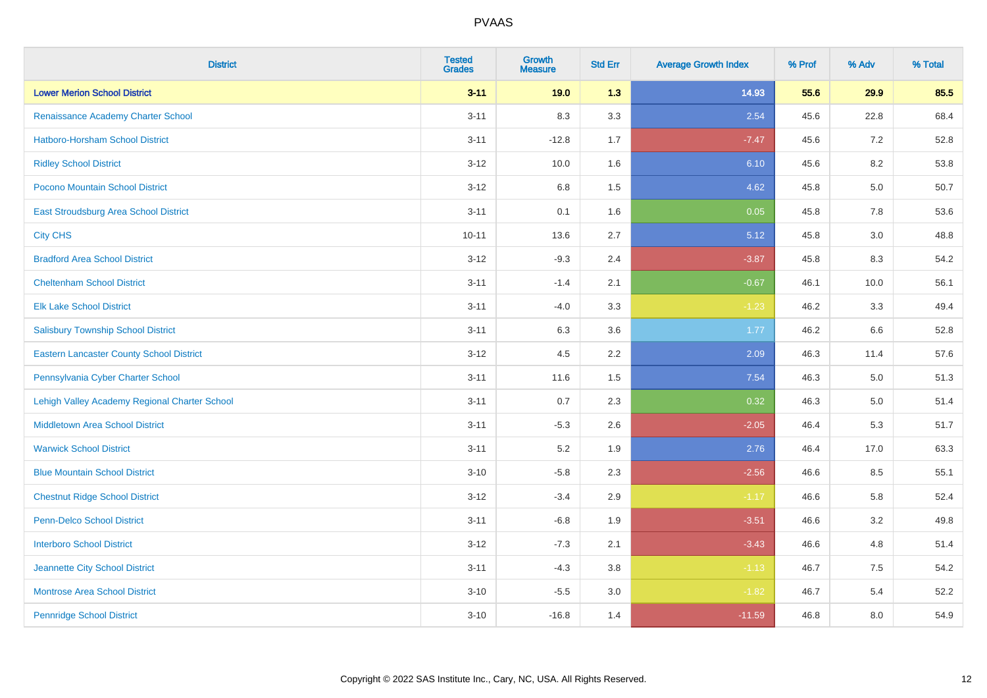| <b>District</b>                                 | <b>Tested</b><br><b>Grades</b> | Growth<br><b>Measure</b> | <b>Std Err</b> | <b>Average Growth Index</b> | % Prof | % Adv | % Total |
|-------------------------------------------------|--------------------------------|--------------------------|----------------|-----------------------------|--------|-------|---------|
| <b>Lower Merion School District</b>             | $3 - 11$                       | 19.0                     | 1.3            | 14.93                       | 55.6   | 29.9  | 85.5    |
| Renaissance Academy Charter School              | $3 - 11$                       | 8.3                      | 3.3            | 2.54                        | 45.6   | 22.8  | 68.4    |
| Hatboro-Horsham School District                 | $3 - 11$                       | $-12.8$                  | 1.7            | $-7.47$                     | 45.6   | 7.2   | 52.8    |
| <b>Ridley School District</b>                   | $3 - 12$                       | 10.0                     | 1.6            | 6.10                        | 45.6   | 8.2   | 53.8    |
| Pocono Mountain School District                 | $3 - 12$                       | 6.8                      | 1.5            | 4.62                        | 45.8   | 5.0   | 50.7    |
| East Stroudsburg Area School District           | $3 - 11$                       | 0.1                      | 1.6            | 0.05                        | 45.8   | 7.8   | 53.6    |
| <b>City CHS</b>                                 | $10 - 11$                      | 13.6                     | 2.7            | 5.12                        | 45.8   | 3.0   | 48.8    |
| <b>Bradford Area School District</b>            | $3 - 12$                       | $-9.3$                   | 2.4            | $-3.87$                     | 45.8   | 8.3   | 54.2    |
| <b>Cheltenham School District</b>               | $3 - 11$                       | $-1.4$                   | 2.1            | $-0.67$                     | 46.1   | 10.0  | 56.1    |
| <b>Elk Lake School District</b>                 | $3 - 11$                       | $-4.0$                   | 3.3            | $-1.23$                     | 46.2   | 3.3   | 49.4    |
| <b>Salisbury Township School District</b>       | $3 - 11$                       | 6.3                      | 3.6            | 1.77                        | 46.2   | 6.6   | 52.8    |
| <b>Eastern Lancaster County School District</b> | $3 - 12$                       | 4.5                      | $2.2\,$        | 2.09                        | 46.3   | 11.4  | 57.6    |
| Pennsylvania Cyber Charter School               | $3 - 11$                       | 11.6                     | 1.5            | 7.54                        | 46.3   | 5.0   | 51.3    |
| Lehigh Valley Academy Regional Charter School   | $3 - 11$                       | 0.7                      | 2.3            | 0.32                        | 46.3   | 5.0   | 51.4    |
| <b>Middletown Area School District</b>          | $3 - 11$                       | $-5.3$                   | 2.6            | $-2.05$                     | 46.4   | 5.3   | 51.7    |
| <b>Warwick School District</b>                  | $3 - 11$                       | 5.2                      | 1.9            | 2.76                        | 46.4   | 17.0  | 63.3    |
| <b>Blue Mountain School District</b>            | $3 - 10$                       | $-5.8$                   | 2.3            | $-2.56$                     | 46.6   | 8.5   | 55.1    |
| <b>Chestnut Ridge School District</b>           | $3 - 12$                       | $-3.4$                   | 2.9            | $-1.17$                     | 46.6   | 5.8   | 52.4    |
| <b>Penn-Delco School District</b>               | $3 - 11$                       | $-6.8$                   | 1.9            | $-3.51$                     | 46.6   | 3.2   | 49.8    |
| <b>Interboro School District</b>                | $3 - 12$                       | $-7.3$                   | 2.1            | $-3.43$                     | 46.6   | 4.8   | 51.4    |
| Jeannette City School District                  | $3 - 11$                       | $-4.3$                   | 3.8            | $-1.13$                     | 46.7   | 7.5   | 54.2    |
| <b>Montrose Area School District</b>            | $3 - 10$                       | $-5.5$                   | $3.0\,$        | $-1.82$                     | 46.7   | 5.4   | 52.2    |
| <b>Pennridge School District</b>                | $3 - 10$                       | $-16.8$                  | 1.4            | $-11.59$                    | 46.8   | 8.0   | 54.9    |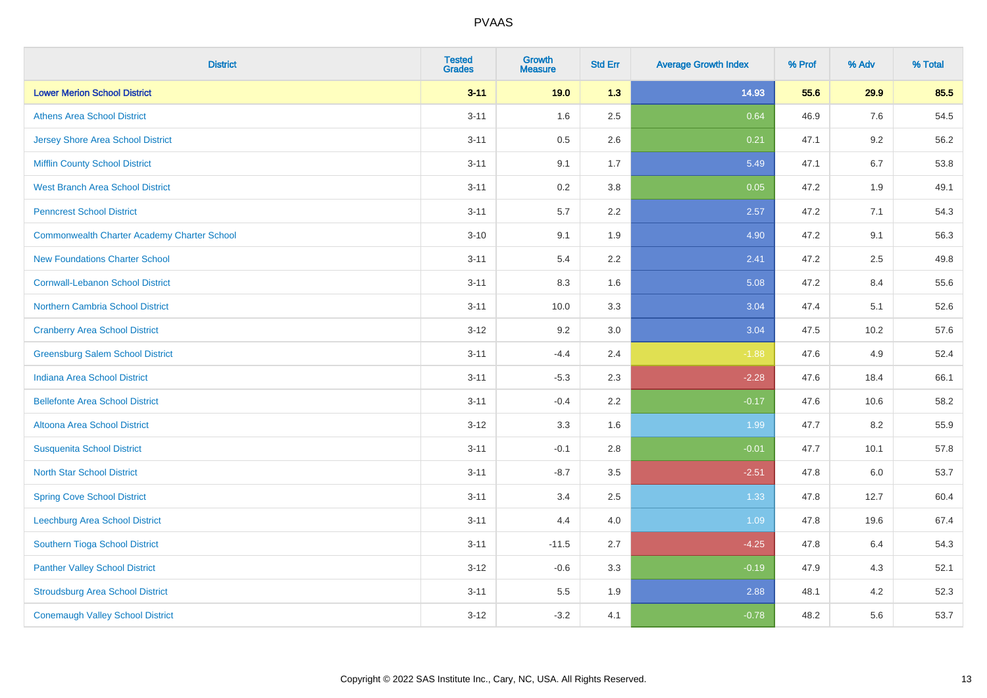| <b>District</b>                             | <b>Tested</b><br><b>Grades</b> | Growth<br><b>Measure</b> | <b>Std Err</b> | <b>Average Growth Index</b> | % Prof | % Adv | % Total |
|---------------------------------------------|--------------------------------|--------------------------|----------------|-----------------------------|--------|-------|---------|
| <b>Lower Merion School District</b>         | $3 - 11$                       | 19.0                     | 1.3            | 14.93                       | 55.6   | 29.9  | 85.5    |
| <b>Athens Area School District</b>          | $3 - 11$                       | 1.6                      | 2.5            | 0.64                        | 46.9   | 7.6   | 54.5    |
| <b>Jersey Shore Area School District</b>    | $3 - 11$                       | 0.5                      | 2.6            | 0.21                        | 47.1   | 9.2   | 56.2    |
| Mifflin County School District              | $3 - 11$                       | 9.1                      | 1.7            | 5.49                        | 47.1   | 6.7   | 53.8    |
| <b>West Branch Area School District</b>     | $3 - 11$                       | 0.2                      | 3.8            | 0.05                        | 47.2   | 1.9   | 49.1    |
| <b>Penncrest School District</b>            | $3 - 11$                       | 5.7                      | 2.2            | 2.57                        | 47.2   | 7.1   | 54.3    |
| Commonwealth Charter Academy Charter School | $3 - 10$                       | 9.1                      | 1.9            | 4.90                        | 47.2   | 9.1   | 56.3    |
| <b>New Foundations Charter School</b>       | $3 - 11$                       | 5.4                      | 2.2            | 2.41                        | 47.2   | 2.5   | 49.8    |
| <b>Cornwall-Lebanon School District</b>     | $3 - 11$                       | 8.3                      | 1.6            | 5.08                        | 47.2   | 8.4   | 55.6    |
| <b>Northern Cambria School District</b>     | $3 - 11$                       | 10.0                     | 3.3            | 3.04                        | 47.4   | 5.1   | 52.6    |
| <b>Cranberry Area School District</b>       | $3 - 12$                       | 9.2                      | 3.0            | 3.04                        | 47.5   | 10.2  | 57.6    |
| <b>Greensburg Salem School District</b>     | $3 - 11$                       | $-4.4$                   | 2.4            | $-1.88$                     | 47.6   | 4.9   | 52.4    |
| <b>Indiana Area School District</b>         | $3 - 11$                       | $-5.3$                   | 2.3            | $-2.28$                     | 47.6   | 18.4  | 66.1    |
| <b>Bellefonte Area School District</b>      | $3 - 11$                       | $-0.4$                   | 2.2            | $-0.17$                     | 47.6   | 10.6  | 58.2    |
| Altoona Area School District                | $3 - 12$                       | 3.3                      | 1.6            | 1.99                        | 47.7   | 8.2   | 55.9    |
| <b>Susquenita School District</b>           | $3 - 11$                       | $-0.1$                   | 2.8            | $-0.01$                     | 47.7   | 10.1  | 57.8    |
| <b>North Star School District</b>           | $3 - 11$                       | $-8.7$                   | 3.5            | $-2.51$                     | 47.8   | 6.0   | 53.7    |
| <b>Spring Cove School District</b>          | $3 - 11$                       | 3.4                      | 2.5            | 1.33                        | 47.8   | 12.7  | 60.4    |
| Leechburg Area School District              | $3 - 11$                       | 4.4                      | 4.0            | 1.09                        | 47.8   | 19.6  | 67.4    |
| Southern Tioga School District              | $3 - 11$                       | $-11.5$                  | 2.7            | $-4.25$                     | 47.8   | 6.4   | 54.3    |
| <b>Panther Valley School District</b>       | $3 - 12$                       | $-0.6$                   | 3.3            | $-0.19$                     | 47.9   | 4.3   | 52.1    |
| <b>Stroudsburg Area School District</b>     | $3 - 11$                       | $5.5\,$                  | 1.9            | 2.88                        | 48.1   | 4.2   | 52.3    |
| <b>Conemaugh Valley School District</b>     | $3 - 12$                       | $-3.2$                   | 4.1            | $-0.78$                     | 48.2   | 5.6   | 53.7    |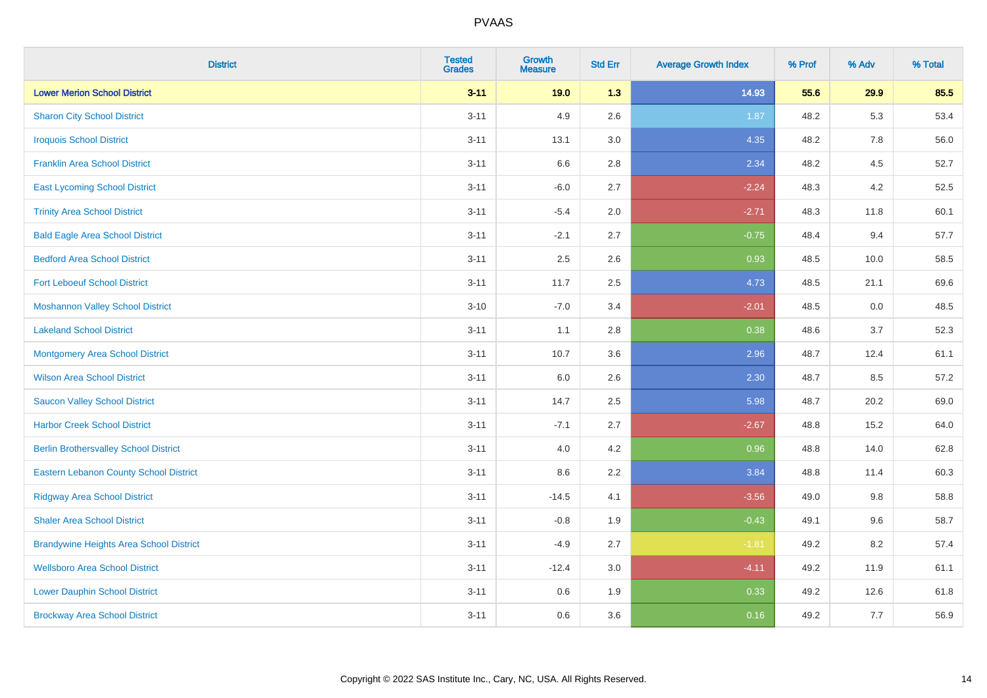| <b>District</b>                                | <b>Tested</b><br><b>Grades</b> | <b>Growth</b><br><b>Measure</b> | <b>Std Err</b> | <b>Average Growth Index</b> | % Prof | % Adv | % Total |
|------------------------------------------------|--------------------------------|---------------------------------|----------------|-----------------------------|--------|-------|---------|
| <b>Lower Merion School District</b>            | $3 - 11$                       | 19.0                            | 1.3            | 14.93                       | 55.6   | 29.9  | 85.5    |
| <b>Sharon City School District</b>             | $3 - 11$                       | 4.9                             | 2.6            | 1.87                        | 48.2   | 5.3   | 53.4    |
| <b>Iroquois School District</b>                | $3 - 11$                       | 13.1                            | 3.0            | 4.35                        | 48.2   | 7.8   | 56.0    |
| <b>Franklin Area School District</b>           | $3 - 11$                       | 6.6                             | 2.8            | 2.34                        | 48.2   | 4.5   | 52.7    |
| <b>East Lycoming School District</b>           | $3 - 11$                       | $-6.0$                          | 2.7            | $-2.24$                     | 48.3   | 4.2   | 52.5    |
| <b>Trinity Area School District</b>            | $3 - 11$                       | $-5.4$                          | 2.0            | $-2.71$                     | 48.3   | 11.8  | 60.1    |
| <b>Bald Eagle Area School District</b>         | $3 - 11$                       | $-2.1$                          | 2.7            | $-0.75$                     | 48.4   | 9.4   | 57.7    |
| <b>Bedford Area School District</b>            | $3 - 11$                       | 2.5                             | 2.6            | 0.93                        | 48.5   | 10.0  | 58.5    |
| <b>Fort Leboeuf School District</b>            | $3 - 11$                       | 11.7                            | 2.5            | 4.73                        | 48.5   | 21.1  | 69.6    |
| <b>Moshannon Valley School District</b>        | $3 - 10$                       | $-7.0$                          | 3.4            | $-2.01$                     | 48.5   | 0.0   | 48.5    |
| <b>Lakeland School District</b>                | $3 - 11$                       | 1.1                             | 2.8            | 0.38                        | 48.6   | 3.7   | 52.3    |
| Montgomery Area School District                | $3 - 11$                       | 10.7                            | 3.6            | 2.96                        | 48.7   | 12.4  | 61.1    |
| <b>Wilson Area School District</b>             | $3 - 11$                       | 6.0                             | 2.6            | 2.30                        | 48.7   | 8.5   | 57.2    |
| <b>Saucon Valley School District</b>           | $3 - 11$                       | 14.7                            | 2.5            | 5.98                        | 48.7   | 20.2  | 69.0    |
| <b>Harbor Creek School District</b>            | $3 - 11$                       | $-7.1$                          | 2.7            | $-2.67$                     | 48.8   | 15.2  | 64.0    |
| <b>Berlin Brothersvalley School District</b>   | $3 - 11$                       | 4.0                             | 4.2            | 0.96                        | 48.8   | 14.0  | 62.8    |
| <b>Eastern Lebanon County School District</b>  | $3 - 11$                       | 8.6                             | 2.2            | 3.84                        | 48.8   | 11.4  | 60.3    |
| <b>Ridgway Area School District</b>            | $3 - 11$                       | $-14.5$                         | 4.1            | $-3.56$                     | 49.0   | 9.8   | 58.8    |
| <b>Shaler Area School District</b>             | $3 - 11$                       | $-0.8$                          | 1.9            | $-0.43$                     | 49.1   | 9.6   | 58.7    |
| <b>Brandywine Heights Area School District</b> | $3 - 11$                       | $-4.9$                          | 2.7            | $-1.81$                     | 49.2   | 8.2   | 57.4    |
| <b>Wellsboro Area School District</b>          | $3 - 11$                       | $-12.4$                         | 3.0            | $-4.11$                     | 49.2   | 11.9  | 61.1    |
| <b>Lower Dauphin School District</b>           | $3 - 11$                       | 0.6                             | 1.9            | 0.33                        | 49.2   | 12.6  | 61.8    |
| <b>Brockway Area School District</b>           | $3 - 11$                       | 0.6                             | 3.6            | 0.16                        | 49.2   | 7.7   | 56.9    |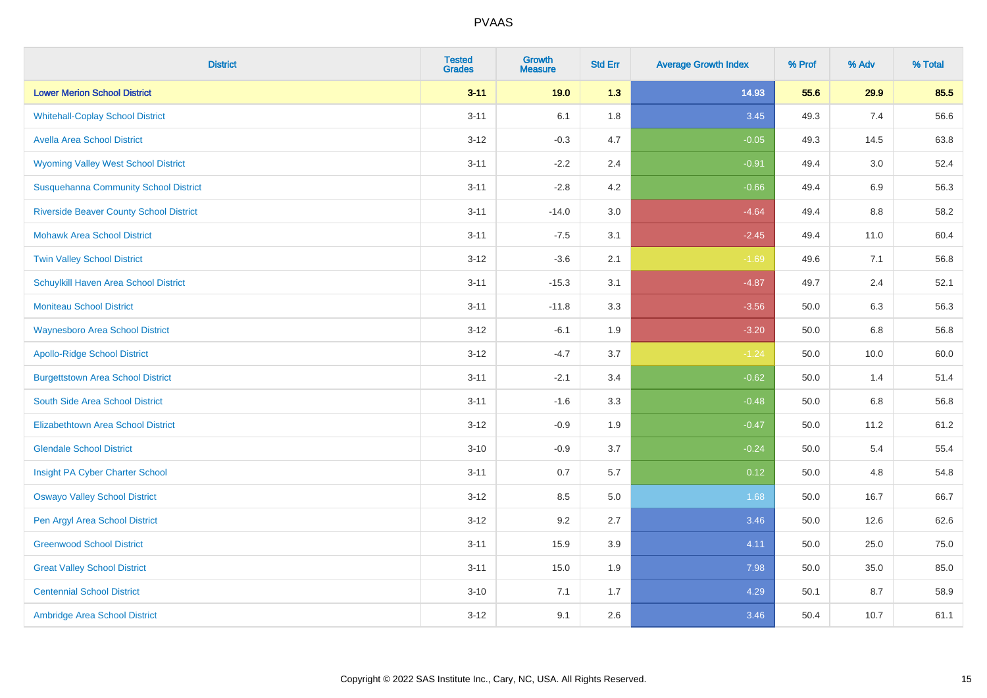| <b>District</b>                                | <b>Tested</b><br><b>Grades</b> | <b>Growth</b><br><b>Measure</b> | <b>Std Err</b> | <b>Average Growth Index</b> | % Prof | % Adv | % Total |
|------------------------------------------------|--------------------------------|---------------------------------|----------------|-----------------------------|--------|-------|---------|
| <b>Lower Merion School District</b>            | $3 - 11$                       | 19.0                            | 1.3            | 14.93                       | 55.6   | 29.9  | 85.5    |
| <b>Whitehall-Coplay School District</b>        | $3 - 11$                       | 6.1                             | 1.8            | 3.45                        | 49.3   | 7.4   | 56.6    |
| <b>Avella Area School District</b>             | $3 - 12$                       | $-0.3$                          | 4.7            | $-0.05$                     | 49.3   | 14.5  | 63.8    |
| <b>Wyoming Valley West School District</b>     | $3 - 11$                       | $-2.2$                          | 2.4            | $-0.91$                     | 49.4   | 3.0   | 52.4    |
| <b>Susquehanna Community School District</b>   | $3 - 11$                       | $-2.8$                          | 4.2            | $-0.66$                     | 49.4   | 6.9   | 56.3    |
| <b>Riverside Beaver County School District</b> | $3 - 11$                       | $-14.0$                         | 3.0            | $-4.64$                     | 49.4   | 8.8   | 58.2    |
| <b>Mohawk Area School District</b>             | $3 - 11$                       | $-7.5$                          | 3.1            | $-2.45$                     | 49.4   | 11.0  | 60.4    |
| <b>Twin Valley School District</b>             | $3 - 12$                       | $-3.6$                          | 2.1            | $-1.69$                     | 49.6   | 7.1   | 56.8    |
| Schuylkill Haven Area School District          | $3 - 11$                       | $-15.3$                         | 3.1            | $-4.87$                     | 49.7   | 2.4   | 52.1    |
| Moniteau School District                       | $3 - 11$                       | $-11.8$                         | 3.3            | $-3.56$                     | 50.0   | 6.3   | 56.3    |
| <b>Waynesboro Area School District</b>         | $3 - 12$                       | $-6.1$                          | 1.9            | $-3.20$                     | 50.0   | 6.8   | 56.8    |
| <b>Apollo-Ridge School District</b>            | $3 - 12$                       | $-4.7$                          | 3.7            | $-1.24$                     | 50.0   | 10.0  | 60.0    |
| <b>Burgettstown Area School District</b>       | $3 - 11$                       | $-2.1$                          | 3.4            | $-0.62$                     | 50.0   | 1.4   | 51.4    |
| South Side Area School District                | $3 - 11$                       | $-1.6$                          | 3.3            | $-0.48$                     | 50.0   | 6.8   | 56.8    |
| <b>Elizabethtown Area School District</b>      | $3 - 12$                       | $-0.9$                          | 1.9            | $-0.47$                     | 50.0   | 11.2  | 61.2    |
| <b>Glendale School District</b>                | $3 - 10$                       | $-0.9$                          | 3.7            | $-0.24$                     | 50.0   | 5.4   | 55.4    |
| Insight PA Cyber Charter School                | $3 - 11$                       | 0.7                             | 5.7            | 0.12                        | 50.0   | 4.8   | 54.8    |
| <b>Oswayo Valley School District</b>           | $3 - 12$                       | 8.5                             | 5.0            | 1.68                        | 50.0   | 16.7  | 66.7    |
| Pen Argyl Area School District                 | $3 - 12$                       | 9.2                             | 2.7            | 3.46                        | 50.0   | 12.6  | 62.6    |
| <b>Greenwood School District</b>               | $3 - 11$                       | 15.9                            | 3.9            | 4.11                        | 50.0   | 25.0  | 75.0    |
| <b>Great Valley School District</b>            | $3 - 11$                       | 15.0                            | 1.9            | 7.98                        | 50.0   | 35.0  | 85.0    |
| <b>Centennial School District</b>              | $3 - 10$                       | 7.1                             | 1.7            | 4.29                        | 50.1   | 8.7   | 58.9    |
| Ambridge Area School District                  | $3 - 12$                       | 9.1                             | 2.6            | 3.46                        | 50.4   | 10.7  | 61.1    |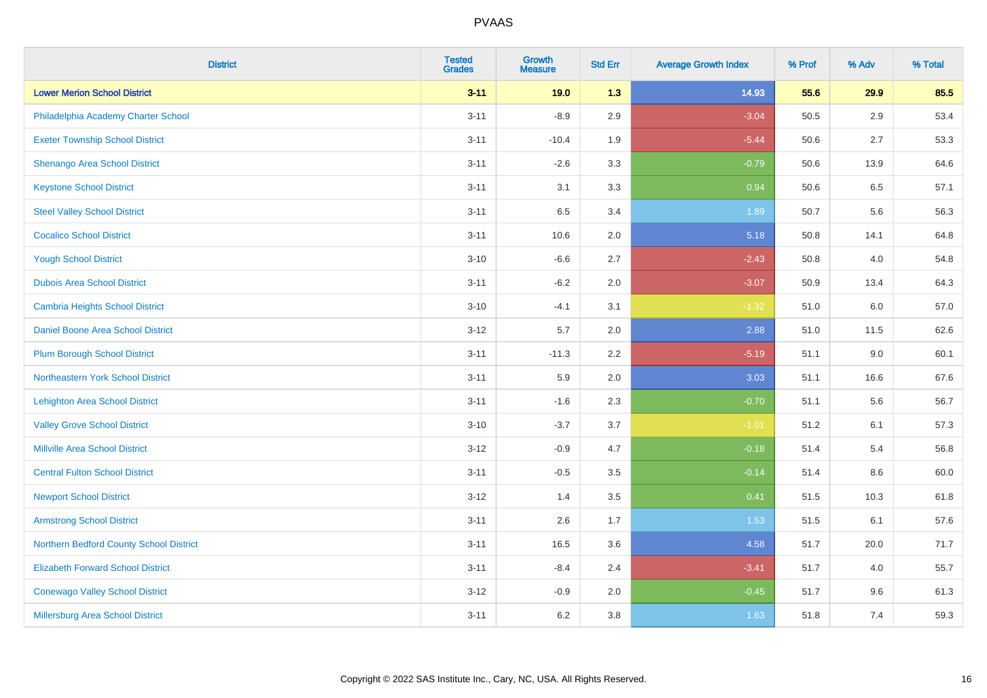| <b>District</b>                          | <b>Tested</b><br><b>Grades</b> | Growth<br><b>Measure</b> | <b>Std Err</b> | <b>Average Growth Index</b> | % Prof | % Adv | % Total |
|------------------------------------------|--------------------------------|--------------------------|----------------|-----------------------------|--------|-------|---------|
| <b>Lower Merion School District</b>      | $3 - 11$                       | 19.0                     | 1.3            | 14.93                       | 55.6   | 29.9  | 85.5    |
| Philadelphia Academy Charter School      | $3 - 11$                       | $-8.9$                   | 2.9            | $-3.04$                     | 50.5   | 2.9   | 53.4    |
| <b>Exeter Township School District</b>   | $3 - 11$                       | $-10.4$                  | 1.9            | $-5.44$                     | 50.6   | 2.7   | 53.3    |
| Shenango Area School District            | $3 - 11$                       | $-2.6$                   | 3.3            | $-0.79$                     | 50.6   | 13.9  | 64.6    |
| <b>Keystone School District</b>          | $3 - 11$                       | 3.1                      | 3.3            | 0.94                        | 50.6   | 6.5   | 57.1    |
| <b>Steel Valley School District</b>      | $3 - 11$                       | 6.5                      | 3.4            | 1.89                        | 50.7   | 5.6   | 56.3    |
| <b>Cocalico School District</b>          | $3 - 11$                       | 10.6                     | 2.0            | 5.18                        | 50.8   | 14.1  | 64.8    |
| <b>Yough School District</b>             | $3 - 10$                       | $-6.6$                   | 2.7            | $-2.43$                     | 50.8   | 4.0   | 54.8    |
| <b>Dubois Area School District</b>       | $3 - 11$                       | $-6.2$                   | 2.0            | $-3.07$                     | 50.9   | 13.4  | 64.3    |
| <b>Cambria Heights School District</b>   | $3 - 10$                       | $-4.1$                   | 3.1            | $-1.32$                     | 51.0   | 6.0   | 57.0    |
| Daniel Boone Area School District        | $3 - 12$                       | 5.7                      | 2.0            | 2.88                        | 51.0   | 11.5  | 62.6    |
| <b>Plum Borough School District</b>      | $3 - 11$                       | $-11.3$                  | 2.2            | $-5.19$                     | 51.1   | 9.0   | 60.1    |
| Northeastern York School District        | $3 - 11$                       | 5.9                      | 2.0            | 3.03                        | 51.1   | 16.6  | 67.6    |
| <b>Lehighton Area School District</b>    | $3 - 11$                       | $-1.6$                   | 2.3            | $-0.70$                     | 51.1   | 5.6   | 56.7    |
| <b>Valley Grove School District</b>      | $3 - 10$                       | $-3.7$                   | 3.7            | $-1.01$                     | 51.2   | 6.1   | 57.3    |
| <b>Millville Area School District</b>    | $3 - 12$                       | $-0.9$                   | 4.7            | $-0.18$                     | 51.4   | 5.4   | 56.8    |
| <b>Central Fulton School District</b>    | $3 - 11$                       | $-0.5$                   | 3.5            | $-0.14$                     | 51.4   | 8.6   | 60.0    |
| <b>Newport School District</b>           | $3 - 12$                       | 1.4                      | 3.5            | 0.41                        | 51.5   | 10.3  | 61.8    |
| <b>Armstrong School District</b>         | $3 - 11$                       | 2.6                      | 1.7            | 1.53                        | 51.5   | 6.1   | 57.6    |
| Northern Bedford County School District  | $3 - 11$                       | 16.5                     | 3.6            | 4.58                        | 51.7   | 20.0  | 71.7    |
| <b>Elizabeth Forward School District</b> | $3 - 11$                       | $-8.4$                   | 2.4            | $-3.41$                     | 51.7   | 4.0   | 55.7    |
| <b>Conewago Valley School District</b>   | $3 - 12$                       | $-0.9$                   | 2.0            | $-0.45$                     | 51.7   | 9.6   | 61.3    |
| Millersburg Area School District         | $3 - 11$                       | $6.2\,$                  | 3.8            | 1.63                        | 51.8   | 7.4   | 59.3    |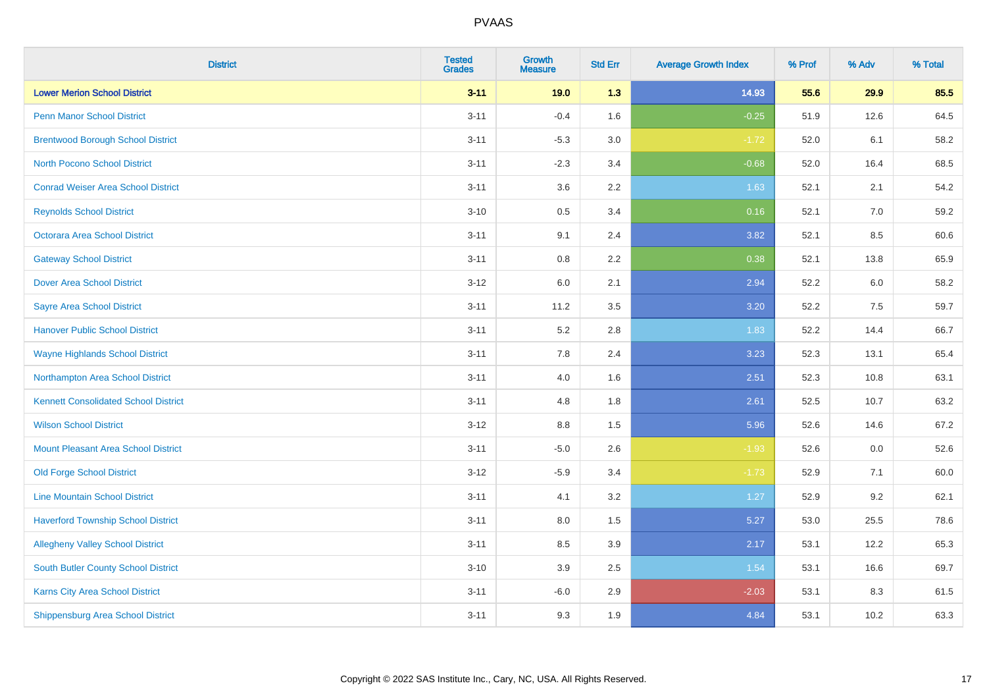| <b>District</b>                             | <b>Tested</b><br><b>Grades</b> | <b>Growth</b><br><b>Measure</b> | <b>Std Err</b> | <b>Average Growth Index</b> | % Prof | % Adv   | % Total |
|---------------------------------------------|--------------------------------|---------------------------------|----------------|-----------------------------|--------|---------|---------|
| <b>Lower Merion School District</b>         | $3 - 11$                       | 19.0                            | 1.3            | 14.93                       | 55.6   | 29.9    | 85.5    |
| <b>Penn Manor School District</b>           | $3 - 11$                       | $-0.4$                          | 1.6            | $-0.25$                     | 51.9   | 12.6    | 64.5    |
| <b>Brentwood Borough School District</b>    | $3 - 11$                       | $-5.3$                          | 3.0            | $-1.72$                     | 52.0   | 6.1     | 58.2    |
| <b>North Pocono School District</b>         | $3 - 11$                       | $-2.3$                          | 3.4            | $-0.68$                     | 52.0   | 16.4    | 68.5    |
| <b>Conrad Weiser Area School District</b>   | $3 - 11$                       | 3.6                             | 2.2            | 1.63                        | 52.1   | 2.1     | 54.2    |
| <b>Reynolds School District</b>             | $3 - 10$                       | 0.5                             | 3.4            | 0.16                        | 52.1   | $7.0\,$ | 59.2    |
| Octorara Area School District               | $3 - 11$                       | 9.1                             | 2.4            | 3.82                        | 52.1   | 8.5     | 60.6    |
| <b>Gateway School District</b>              | $3 - 11$                       | 0.8                             | 2.2            | 0.38                        | 52.1   | 13.8    | 65.9    |
| <b>Dover Area School District</b>           | $3-12$                         | 6.0                             | 2.1            | 2.94                        | 52.2   | $6.0\,$ | 58.2    |
| <b>Sayre Area School District</b>           | $3 - 11$                       | 11.2                            | 3.5            | 3.20                        | 52.2   | $7.5\,$ | 59.7    |
| <b>Hanover Public School District</b>       | $3 - 11$                       | 5.2                             | 2.8            | 1.83                        | 52.2   | 14.4    | 66.7    |
| <b>Wayne Highlands School District</b>      | $3 - 11$                       | 7.8                             | 2.4            | 3.23                        | 52.3   | 13.1    | 65.4    |
| Northampton Area School District            | $3 - 11$                       | 4.0                             | 1.6            | 2.51                        | 52.3   | 10.8    | 63.1    |
| <b>Kennett Consolidated School District</b> | $3 - 11$                       | 4.8                             | 1.8            | 2.61                        | 52.5   | 10.7    | 63.2    |
| <b>Wilson School District</b>               | $3-12$                         | 8.8                             | 1.5            | 5.96                        | 52.6   | 14.6    | 67.2    |
| <b>Mount Pleasant Area School District</b>  | $3 - 11$                       | $-5.0$                          | 2.6            | $-1.93$                     | 52.6   | 0.0     | 52.6    |
| <b>Old Forge School District</b>            | $3-12$                         | $-5.9$                          | 3.4            | $-1.73$                     | 52.9   | 7.1     | 60.0    |
| <b>Line Mountain School District</b>        | $3 - 11$                       | 4.1                             | 3.2            | 1.27                        | 52.9   | 9.2     | 62.1    |
| <b>Haverford Township School District</b>   | $3 - 11$                       | 8.0                             | 1.5            | 5.27                        | 53.0   | 25.5    | 78.6    |
| <b>Allegheny Valley School District</b>     | $3 - 11$                       | 8.5                             | 3.9            | 2.17                        | 53.1   | 12.2    | 65.3    |
| South Butler County School District         | $3 - 10$                       | 3.9                             | 2.5            | 1.54                        | 53.1   | 16.6    | 69.7    |
| Karns City Area School District             | $3 - 11$                       | $-6.0$                          | 2.9            | $-2.03$                     | 53.1   | 8.3     | 61.5    |
| <b>Shippensburg Area School District</b>    | $3 - 11$                       | 9.3                             | 1.9            | 4.84                        | 53.1   | 10.2    | 63.3    |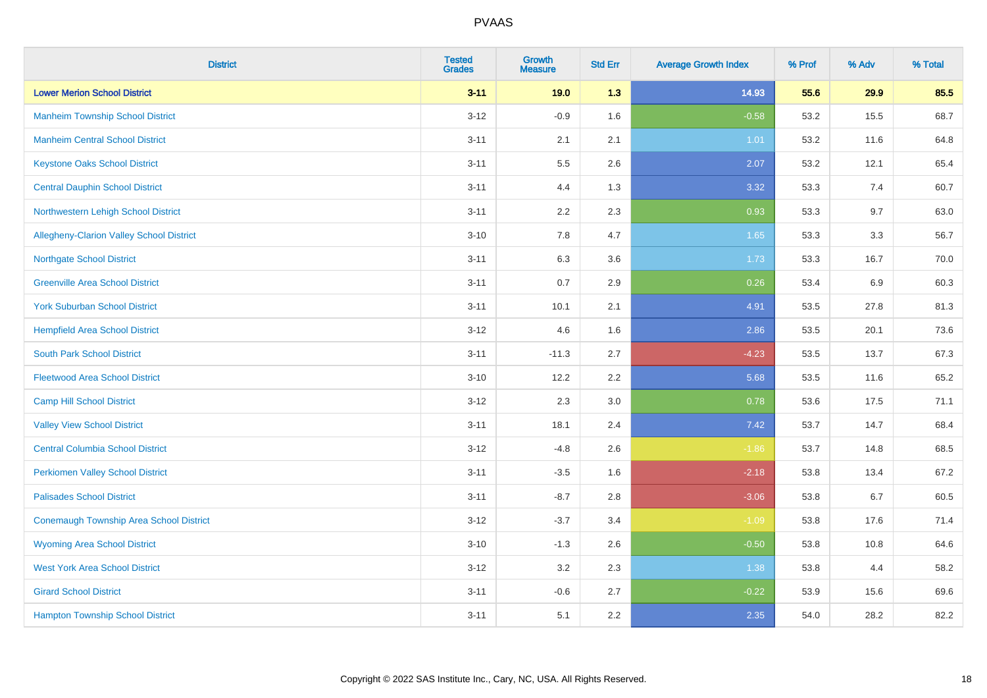| <b>District</b>                                | <b>Tested</b><br><b>Grades</b> | <b>Growth</b><br><b>Measure</b> | <b>Std Err</b> | <b>Average Growth Index</b> | % Prof | % Adv | % Total |
|------------------------------------------------|--------------------------------|---------------------------------|----------------|-----------------------------|--------|-------|---------|
| <b>Lower Merion School District</b>            | $3 - 11$                       | 19.0                            | 1.3            | 14.93                       | 55.6   | 29.9  | 85.5    |
| <b>Manheim Township School District</b>        | $3 - 12$                       | $-0.9$                          | 1.6            | $-0.58$                     | 53.2   | 15.5  | 68.7    |
| <b>Manheim Central School District</b>         | $3 - 11$                       | 2.1                             | 2.1            | 1.01                        | 53.2   | 11.6  | 64.8    |
| <b>Keystone Oaks School District</b>           | $3 - 11$                       | $5.5\,$                         | 2.6            | 2.07                        | 53.2   | 12.1  | 65.4    |
| <b>Central Dauphin School District</b>         | $3 - 11$                       | 4.4                             | 1.3            | 3.32                        | 53.3   | 7.4   | 60.7    |
| Northwestern Lehigh School District            | $3 - 11$                       | 2.2                             | 2.3            | 0.93                        | 53.3   | 9.7   | 63.0    |
| Allegheny-Clarion Valley School District       | $3 - 10$                       | 7.8                             | 4.7            | 1.65                        | 53.3   | 3.3   | 56.7    |
| <b>Northgate School District</b>               | $3 - 11$                       | 6.3                             | 3.6            | 1.73                        | 53.3   | 16.7  | 70.0    |
| <b>Greenville Area School District</b>         | $3 - 11$                       | 0.7                             | 2.9            | 0.26                        | 53.4   | 6.9   | 60.3    |
| <b>York Suburban School District</b>           | $3 - 11$                       | 10.1                            | 2.1            | 4.91                        | 53.5   | 27.8  | 81.3    |
| <b>Hempfield Area School District</b>          | $3 - 12$                       | 4.6                             | 1.6            | 2.86                        | 53.5   | 20.1  | 73.6    |
| <b>South Park School District</b>              | $3 - 11$                       | $-11.3$                         | 2.7            | $-4.23$                     | 53.5   | 13.7  | 67.3    |
| <b>Fleetwood Area School District</b>          | $3 - 10$                       | 12.2                            | 2.2            | 5.68                        | 53.5   | 11.6  | 65.2    |
| <b>Camp Hill School District</b>               | $3 - 12$                       | 2.3                             | 3.0            | 0.78                        | 53.6   | 17.5  | 71.1    |
| <b>Valley View School District</b>             | $3 - 11$                       | 18.1                            | 2.4            | 7.42                        | 53.7   | 14.7  | 68.4    |
| <b>Central Columbia School District</b>        | $3 - 12$                       | $-4.8$                          | 2.6            | $-1.86$                     | 53.7   | 14.8  | 68.5    |
| <b>Perkiomen Valley School District</b>        | $3 - 11$                       | $-3.5$                          | 1.6            | $-2.18$                     | 53.8   | 13.4  | 67.2    |
| <b>Palisades School District</b>               | $3 - 11$                       | $-8.7$                          | 2.8            | $-3.06$                     | 53.8   | 6.7   | 60.5    |
| <b>Conemaugh Township Area School District</b> | $3 - 12$                       | $-3.7$                          | 3.4            | $-1.09$                     | 53.8   | 17.6  | 71.4    |
| <b>Wyoming Area School District</b>            | $3 - 10$                       | $-1.3$                          | 2.6            | $-0.50$                     | 53.8   | 10.8  | 64.6    |
| <b>West York Area School District</b>          | $3 - 12$                       | 3.2                             | 2.3            | 1.38                        | 53.8   | 4.4   | 58.2    |
| <b>Girard School District</b>                  | $3 - 11$                       | $-0.6$                          | 2.7            | $-0.22$                     | 53.9   | 15.6  | 69.6    |
| <b>Hampton Township School District</b>        | $3 - 11$                       | 5.1                             | 2.2            | 2.35                        | 54.0   | 28.2  | 82.2    |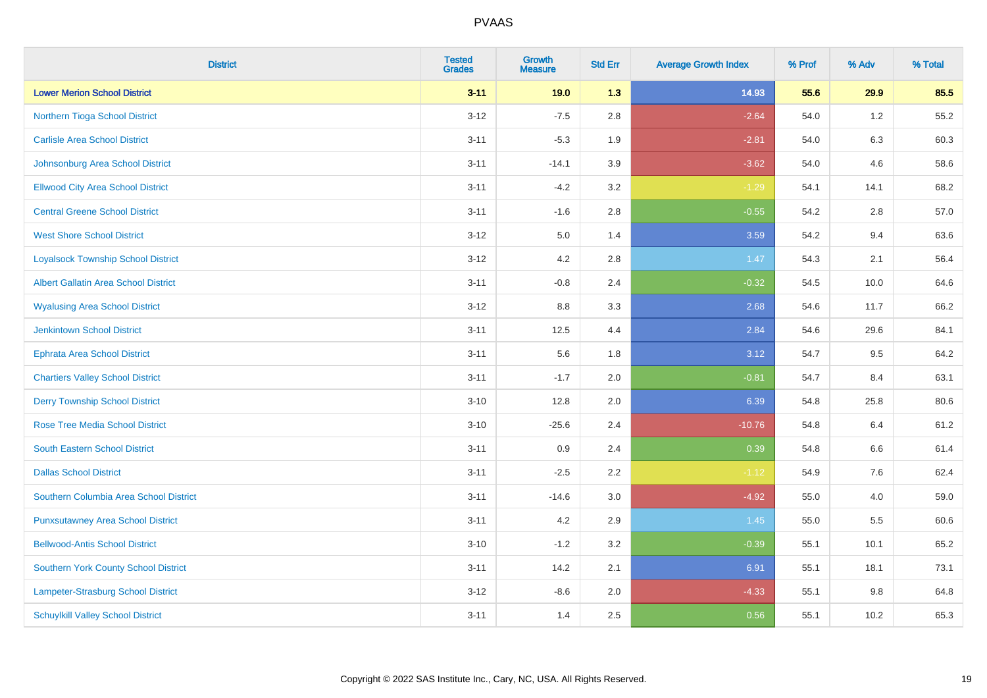| <b>District</b>                             | <b>Tested</b><br><b>Grades</b> | <b>Growth</b><br><b>Measure</b> | <b>Std Err</b> | <b>Average Growth Index</b> | % Prof | % Adv | % Total |
|---------------------------------------------|--------------------------------|---------------------------------|----------------|-----------------------------|--------|-------|---------|
| <b>Lower Merion School District</b>         | $3 - 11$                       | 19.0                            | 1.3            | 14.93                       | 55.6   | 29.9  | 85.5    |
| Northern Tioga School District              | $3 - 12$                       | $-7.5$                          | 2.8            | $-2.64$                     | 54.0   | 1.2   | 55.2    |
| <b>Carlisle Area School District</b>        | $3 - 11$                       | $-5.3$                          | 1.9            | $-2.81$                     | 54.0   | 6.3   | 60.3    |
| Johnsonburg Area School District            | $3 - 11$                       | $-14.1$                         | 3.9            | $-3.62$                     | 54.0   | 4.6   | 58.6    |
| <b>Ellwood City Area School District</b>    | $3 - 11$                       | $-4.2$                          | 3.2            | $-1.29$                     | 54.1   | 14.1  | 68.2    |
| <b>Central Greene School District</b>       | $3 - 11$                       | $-1.6$                          | 2.8            | $-0.55$                     | 54.2   | 2.8   | 57.0    |
| <b>West Shore School District</b>           | $3 - 12$                       | 5.0                             | 1.4            | 3.59                        | 54.2   | 9.4   | 63.6    |
| <b>Loyalsock Township School District</b>   | $3-12$                         | 4.2                             | 2.8            | 1.47                        | 54.3   | 2.1   | 56.4    |
| <b>Albert Gallatin Area School District</b> | $3 - 11$                       | $-0.8$                          | 2.4            | $-0.32$                     | 54.5   | 10.0  | 64.6    |
| <b>Wyalusing Area School District</b>       | $3-12$                         | 8.8                             | 3.3            | 2.68                        | 54.6   | 11.7  | 66.2    |
| <b>Jenkintown School District</b>           | $3 - 11$                       | 12.5                            | 4.4            | 2.84                        | 54.6   | 29.6  | 84.1    |
| Ephrata Area School District                | $3 - 11$                       | 5.6                             | 1.8            | 3.12                        | 54.7   | 9.5   | 64.2    |
| <b>Chartiers Valley School District</b>     | $3 - 11$                       | $-1.7$                          | 2.0            | $-0.81$                     | 54.7   | 8.4   | 63.1    |
| <b>Derry Township School District</b>       | $3 - 10$                       | 12.8                            | 2.0            | 6.39                        | 54.8   | 25.8  | 80.6    |
| <b>Rose Tree Media School District</b>      | $3 - 10$                       | $-25.6$                         | 2.4            | $-10.76$                    | 54.8   | 6.4   | 61.2    |
| <b>South Eastern School District</b>        | $3 - 11$                       | 0.9                             | 2.4            | 0.39                        | 54.8   | 6.6   | 61.4    |
| <b>Dallas School District</b>               | $3 - 11$                       | $-2.5$                          | 2.2            | $-1.12$                     | 54.9   | 7.6   | 62.4    |
| Southern Columbia Area School District      | $3 - 11$                       | $-14.6$                         | 3.0            | $-4.92$                     | 55.0   | 4.0   | 59.0    |
| <b>Punxsutawney Area School District</b>    | $3 - 11$                       | 4.2                             | 2.9            | 1.45                        | 55.0   | 5.5   | 60.6    |
| <b>Bellwood-Antis School District</b>       | $3 - 10$                       | $-1.2$                          | 3.2            | $-0.39$                     | 55.1   | 10.1  | 65.2    |
| <b>Southern York County School District</b> | $3 - 11$                       | 14.2                            | 2.1            | 6.91                        | 55.1   | 18.1  | 73.1    |
| Lampeter-Strasburg School District          | $3 - 12$                       | $-8.6$                          | 2.0            | $-4.33$                     | 55.1   | 9.8   | 64.8    |
| <b>Schuylkill Valley School District</b>    | $3 - 11$                       | 1.4                             | 2.5            | 0.56                        | 55.1   | 10.2  | 65.3    |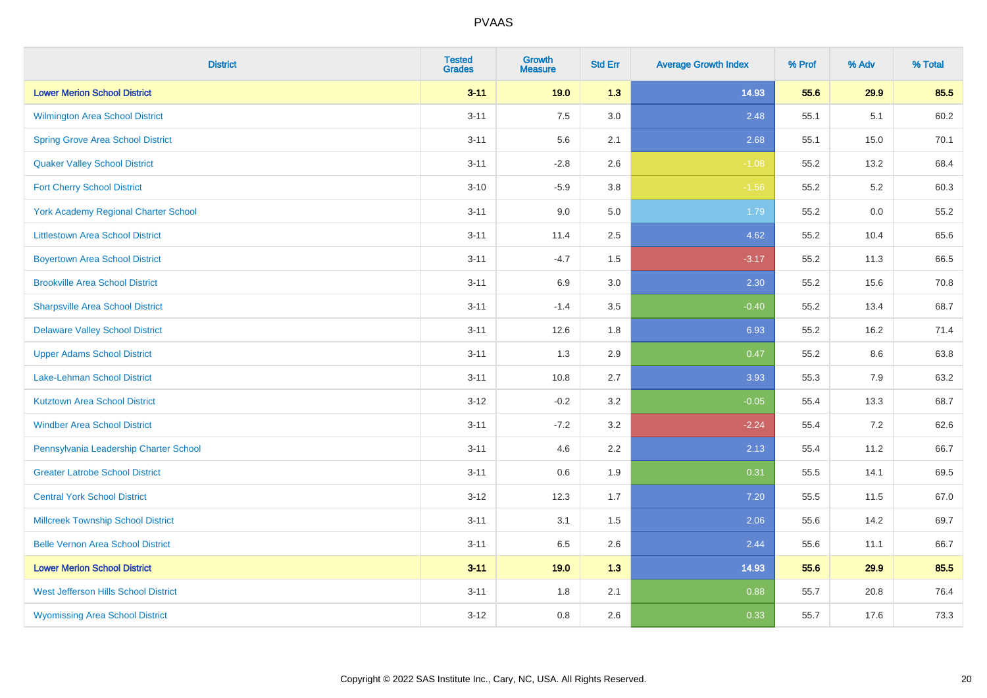| <b>District</b>                             | <b>Tested</b><br><b>Grades</b> | Growth<br><b>Measure</b> | <b>Std Err</b> | <b>Average Growth Index</b> | % Prof | % Adv | % Total |
|---------------------------------------------|--------------------------------|--------------------------|----------------|-----------------------------|--------|-------|---------|
| <b>Lower Merion School District</b>         | $3 - 11$                       | 19.0                     | 1.3            | 14.93                       | 55.6   | 29.9  | 85.5    |
| <b>Wilmington Area School District</b>      | $3 - 11$                       | 7.5                      | 3.0            | 2.48                        | 55.1   | 5.1   | 60.2    |
| <b>Spring Grove Area School District</b>    | $3 - 11$                       | 5.6                      | 2.1            | 2.68                        | 55.1   | 15.0  | 70.1    |
| <b>Quaker Valley School District</b>        | $3 - 11$                       | $-2.8$                   | 2.6            | $-1.08$                     | 55.2   | 13.2  | 68.4    |
| <b>Fort Cherry School District</b>          | $3 - 10$                       | $-5.9$                   | 3.8            | $-1.56$                     | 55.2   | 5.2   | 60.3    |
| <b>York Academy Regional Charter School</b> | $3 - 11$                       | 9.0                      | 5.0            | 1.79                        | 55.2   | 0.0   | 55.2    |
| <b>Littlestown Area School District</b>     | $3 - 11$                       | 11.4                     | 2.5            | 4.62                        | 55.2   | 10.4  | 65.6    |
| <b>Boyertown Area School District</b>       | $3 - 11$                       | $-4.7$                   | 1.5            | $-3.17$                     | 55.2   | 11.3  | 66.5    |
| <b>Brookville Area School District</b>      | $3 - 11$                       | 6.9                      | 3.0            | 2.30                        | 55.2   | 15.6  | 70.8    |
| <b>Sharpsville Area School District</b>     | $3 - 11$                       | $-1.4$                   | 3.5            | $-0.40$                     | 55.2   | 13.4  | 68.7    |
| <b>Delaware Valley School District</b>      | $3 - 11$                       | 12.6                     | 1.8            | 6.93                        | 55.2   | 16.2  | 71.4    |
| <b>Upper Adams School District</b>          | $3 - 11$                       | 1.3                      | 2.9            | 0.47                        | 55.2   | 8.6   | 63.8    |
| Lake-Lehman School District                 | $3 - 11$                       | 10.8                     | 2.7            | 3.93                        | 55.3   | 7.9   | 63.2    |
| <b>Kutztown Area School District</b>        | $3 - 12$                       | $-0.2$                   | 3.2            | $-0.05$                     | 55.4   | 13.3  | 68.7    |
| <b>Windber Area School District</b>         | $3 - 11$                       | $-7.2$                   | 3.2            | $-2.24$                     | 55.4   | 7.2   | 62.6    |
| Pennsylvania Leadership Charter School      | $3 - 11$                       | 4.6                      | 2.2            | 2.13                        | 55.4   | 11.2  | 66.7    |
| <b>Greater Latrobe School District</b>      | $3 - 11$                       | 0.6                      | 1.9            | 0.31                        | 55.5   | 14.1  | 69.5    |
| <b>Central York School District</b>         | $3 - 12$                       | 12.3                     | 1.7            | 7.20                        | 55.5   | 11.5  | 67.0    |
| <b>Millcreek Township School District</b>   | $3 - 11$                       | 3.1                      | 1.5            | 2.06                        | 55.6   | 14.2  | 69.7    |
| <b>Belle Vernon Area School District</b>    | $3 - 11$                       | 6.5                      | 2.6            | 2.44                        | 55.6   | 11.1  | 66.7    |
| <b>Lower Merion School District</b>         | $3 - 11$                       | 19.0                     | 1.3            | 14.93                       | 55.6   | 29.9  | 85.5    |
| West Jefferson Hills School District        | $3 - 11$                       | 1.8                      | 2.1            | 0.88                        | 55.7   | 20.8  | 76.4    |
| <b>Wyomissing Area School District</b>      | $3 - 12$                       | 0.8                      | 2.6            | 0.33                        | 55.7   | 17.6  | 73.3    |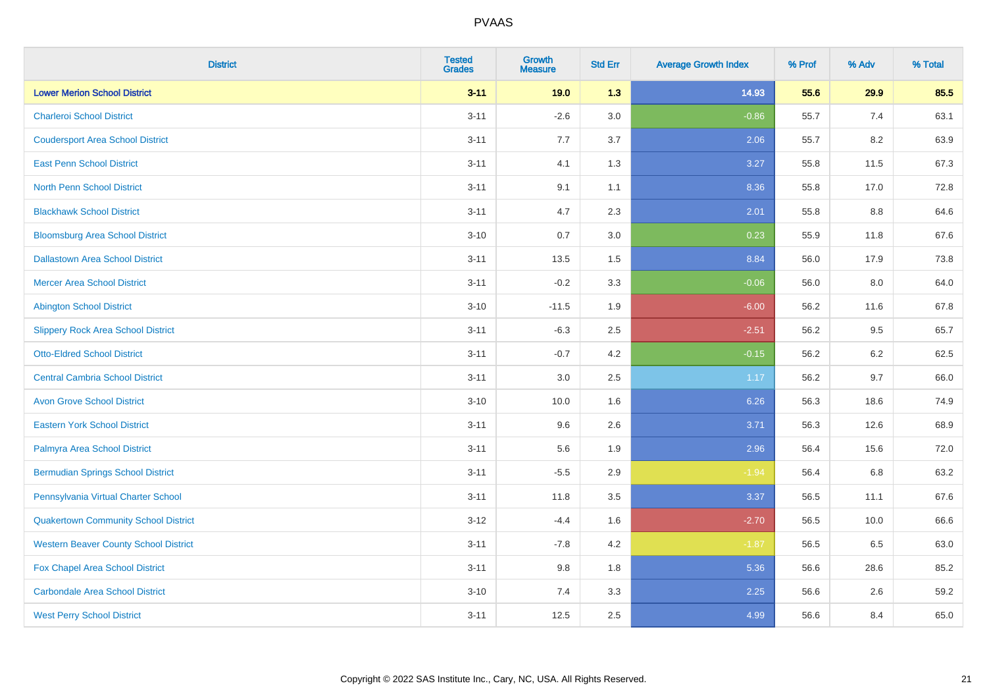| <b>District</b>                              | <b>Tested</b><br><b>Grades</b> | <b>Growth</b><br><b>Measure</b> | <b>Std Err</b> | <b>Average Growth Index</b> | % Prof | % Adv   | % Total |
|----------------------------------------------|--------------------------------|---------------------------------|----------------|-----------------------------|--------|---------|---------|
| <b>Lower Merion School District</b>          | $3 - 11$                       | 19.0                            | 1.3            | 14.93                       | 55.6   | 29.9    | 85.5    |
| <b>Charleroi School District</b>             | $3 - 11$                       | $-2.6$                          | 3.0            | $-0.86$                     | 55.7   | 7.4     | 63.1    |
| <b>Coudersport Area School District</b>      | $3 - 11$                       | 7.7                             | 3.7            | 2.06                        | 55.7   | 8.2     | 63.9    |
| <b>East Penn School District</b>             | $3 - 11$                       | 4.1                             | 1.3            | 3.27                        | 55.8   | 11.5    | 67.3    |
| <b>North Penn School District</b>            | $3 - 11$                       | 9.1                             | 1.1            | 8.36                        | 55.8   | 17.0    | 72.8    |
| <b>Blackhawk School District</b>             | $3 - 11$                       | 4.7                             | 2.3            | 2.01                        | 55.8   | 8.8     | 64.6    |
| <b>Bloomsburg Area School District</b>       | $3 - 10$                       | 0.7                             | 3.0            | 0.23                        | 55.9   | 11.8    | 67.6    |
| <b>Dallastown Area School District</b>       | $3 - 11$                       | 13.5                            | 1.5            | 8.84                        | 56.0   | 17.9    | 73.8    |
| <b>Mercer Area School District</b>           | $3 - 11$                       | $-0.2$                          | 3.3            | $-0.06$                     | 56.0   | $8.0\,$ | 64.0    |
| <b>Abington School District</b>              | $3 - 10$                       | $-11.5$                         | 1.9            | $-6.00$                     | 56.2   | 11.6    | 67.8    |
| <b>Slippery Rock Area School District</b>    | $3 - 11$                       | $-6.3$                          | 2.5            | $-2.51$                     | 56.2   | 9.5     | 65.7    |
| <b>Otto-Eldred School District</b>           | $3 - 11$                       | $-0.7$                          | 4.2            | $-0.15$                     | 56.2   | $6.2\,$ | 62.5    |
| <b>Central Cambria School District</b>       | $3 - 11$                       | 3.0                             | 2.5            | 1.17                        | 56.2   | 9.7     | 66.0    |
| <b>Avon Grove School District</b>            | $3 - 10$                       | 10.0                            | 1.6            | 6.26                        | 56.3   | 18.6    | 74.9    |
| <b>Eastern York School District</b>          | $3 - 11$                       | 9.6                             | 2.6            | 3.71                        | 56.3   | 12.6    | 68.9    |
| Palmyra Area School District                 | $3 - 11$                       | 5.6                             | 1.9            | 2.96                        | 56.4   | 15.6    | 72.0    |
| <b>Bermudian Springs School District</b>     | $3 - 11$                       | $-5.5$                          | 2.9            | $-1.94$                     | 56.4   | 6.8     | 63.2    |
| Pennsylvania Virtual Charter School          | $3 - 11$                       | 11.8                            | 3.5            | 3.37                        | 56.5   | 11.1    | 67.6    |
| <b>Quakertown Community School District</b>  | $3 - 12$                       | $-4.4$                          | 1.6            | $-2.70$                     | 56.5   | 10.0    | 66.6    |
| <b>Western Beaver County School District</b> | $3 - 11$                       | $-7.8$                          | 4.2            | $-1.87$                     | 56.5   | 6.5     | 63.0    |
| <b>Fox Chapel Area School District</b>       | $3 - 11$                       | 9.8                             | 1.8            | 5.36                        | 56.6   | 28.6    | 85.2    |
| <b>Carbondale Area School District</b>       | $3 - 10$                       | 7.4                             | 3.3            | 2.25                        | 56.6   | 2.6     | 59.2    |
| <b>West Perry School District</b>            | $3 - 11$                       | 12.5                            | 2.5            | 4.99                        | 56.6   | 8.4     | 65.0    |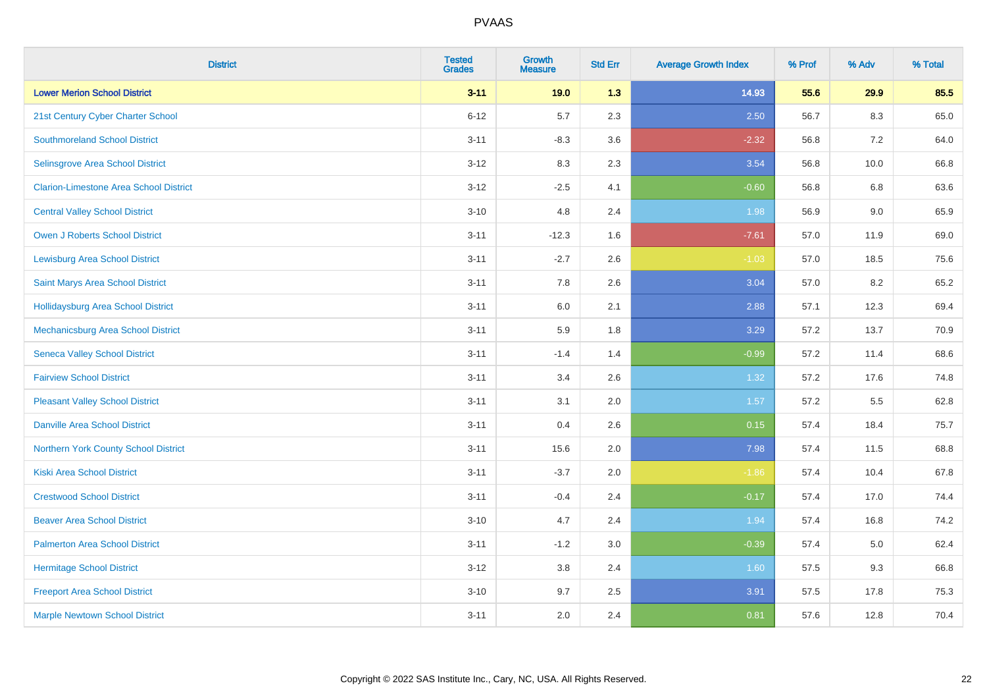| <b>District</b>                               | <b>Tested</b><br><b>Grades</b> | <b>Growth</b><br><b>Measure</b> | <b>Std Err</b> | <b>Average Growth Index</b> | % Prof | % Adv   | % Total |
|-----------------------------------------------|--------------------------------|---------------------------------|----------------|-----------------------------|--------|---------|---------|
| <b>Lower Merion School District</b>           | $3 - 11$                       | 19.0                            | 1.3            | 14.93                       | 55.6   | 29.9    | 85.5    |
| 21st Century Cyber Charter School             | $6 - 12$                       | 5.7                             | 2.3            | 2.50                        | 56.7   | $8.3\,$ | 65.0    |
| <b>Southmoreland School District</b>          | $3 - 11$                       | $-8.3$                          | 3.6            | $-2.32$                     | 56.8   | 7.2     | 64.0    |
| Selinsgrove Area School District              | $3 - 12$                       | 8.3                             | 2.3            | 3.54                        | 56.8   | 10.0    | 66.8    |
| <b>Clarion-Limestone Area School District</b> | $3 - 12$                       | $-2.5$                          | 4.1            | $-0.60$                     | 56.8   | 6.8     | 63.6    |
| <b>Central Valley School District</b>         | $3 - 10$                       | 4.8                             | 2.4            | 1.98                        | 56.9   | 9.0     | 65.9    |
| Owen J Roberts School District                | $3 - 11$                       | $-12.3$                         | 1.6            | $-7.61$                     | 57.0   | 11.9    | 69.0    |
| <b>Lewisburg Area School District</b>         | $3 - 11$                       | $-2.7$                          | 2.6            | $-1.03$                     | 57.0   | 18.5    | 75.6    |
| Saint Marys Area School District              | $3 - 11$                       | 7.8                             | 2.6            | 3.04                        | 57.0   | 8.2     | 65.2    |
| <b>Hollidaysburg Area School District</b>     | $3 - 11$                       | 6.0                             | 2.1            | 2.88                        | 57.1   | 12.3    | 69.4    |
| Mechanicsburg Area School District            | $3 - 11$                       | 5.9                             | 1.8            | 3.29                        | 57.2   | 13.7    | 70.9    |
| <b>Seneca Valley School District</b>          | $3 - 11$                       | $-1.4$                          | 1.4            | $-0.99$                     | 57.2   | 11.4    | 68.6    |
| <b>Fairview School District</b>               | $3 - 11$                       | 3.4                             | 2.6            | 1.32                        | 57.2   | 17.6    | 74.8    |
| <b>Pleasant Valley School District</b>        | $3 - 11$                       | 3.1                             | 2.0            | 1.57                        | 57.2   | 5.5     | 62.8    |
| <b>Danville Area School District</b>          | $3 - 11$                       | 0.4                             | 2.6            | 0.15                        | 57.4   | 18.4    | 75.7    |
| Northern York County School District          | $3 - 11$                       | 15.6                            | 2.0            | 7.98                        | 57.4   | 11.5    | 68.8    |
| <b>Kiski Area School District</b>             | $3 - 11$                       | $-3.7$                          | 2.0            | $-1.86$                     | 57.4   | 10.4    | 67.8    |
| <b>Crestwood School District</b>              | $3 - 11$                       | $-0.4$                          | 2.4            | $-0.17$                     | 57.4   | 17.0    | 74.4    |
| <b>Beaver Area School District</b>            | $3 - 10$                       | 4.7                             | 2.4            | 1.94                        | 57.4   | 16.8    | 74.2    |
| <b>Palmerton Area School District</b>         | $3 - 11$                       | $-1.2$                          | 3.0            | $-0.39$                     | 57.4   | 5.0     | 62.4    |
| <b>Hermitage School District</b>              | $3 - 12$                       | 3.8                             | 2.4            | 1.60                        | 57.5   | 9.3     | 66.8    |
| <b>Freeport Area School District</b>          | $3 - 10$                       | 9.7                             | 2.5            | 3.91                        | 57.5   | 17.8    | 75.3    |
| <b>Marple Newtown School District</b>         | $3 - 11$                       | 2.0                             | 2.4            | 0.81                        | 57.6   | 12.8    | 70.4    |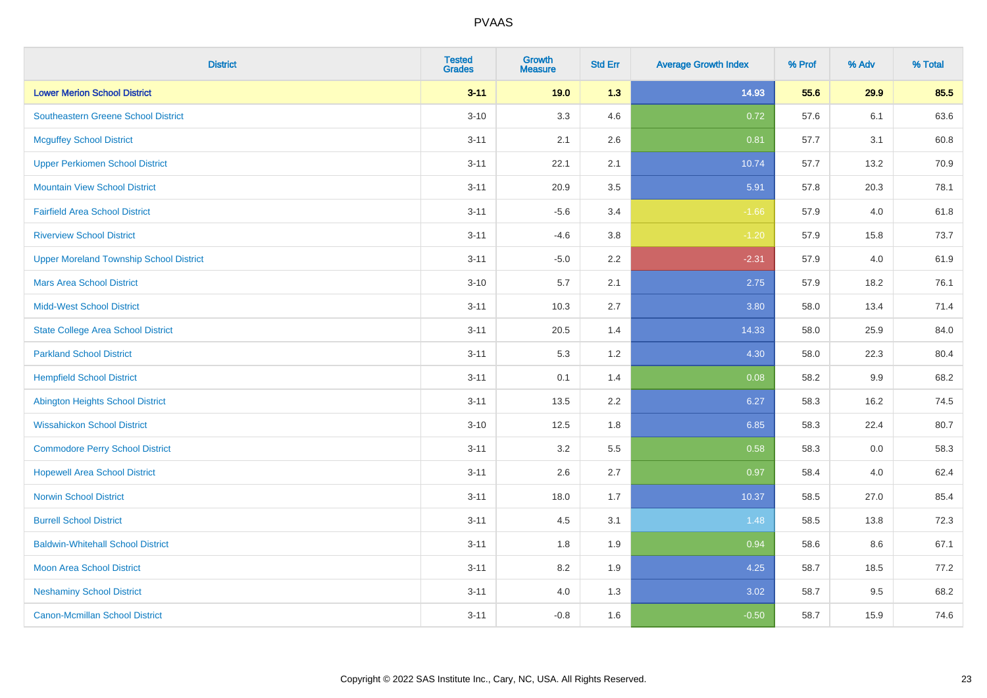| <b>District</b>                                | <b>Tested</b><br><b>Grades</b> | <b>Growth</b><br><b>Measure</b> | <b>Std Err</b> | <b>Average Growth Index</b> | % Prof | % Adv | % Total |
|------------------------------------------------|--------------------------------|---------------------------------|----------------|-----------------------------|--------|-------|---------|
| <b>Lower Merion School District</b>            | $3 - 11$                       | 19.0                            | 1.3            | 14.93                       | 55.6   | 29.9  | 85.5    |
| <b>Southeastern Greene School District</b>     | $3 - 10$                       | 3.3                             | 4.6            | 0.72                        | 57.6   | 6.1   | 63.6    |
| <b>Mcguffey School District</b>                | $3 - 11$                       | 2.1                             | 2.6            | 0.81                        | 57.7   | 3.1   | 60.8    |
| <b>Upper Perkiomen School District</b>         | $3 - 11$                       | 22.1                            | 2.1            | 10.74                       | 57.7   | 13.2  | 70.9    |
| <b>Mountain View School District</b>           | $3 - 11$                       | 20.9                            | 3.5            | 5.91                        | 57.8   | 20.3  | 78.1    |
| <b>Fairfield Area School District</b>          | $3 - 11$                       | $-5.6$                          | 3.4            | $-1.66$                     | 57.9   | 4.0   | 61.8    |
| <b>Riverview School District</b>               | $3 - 11$                       | $-4.6$                          | $3.8\,$        | $-1.20$                     | 57.9   | 15.8  | 73.7    |
| <b>Upper Moreland Township School District</b> | $3 - 11$                       | $-5.0$                          | 2.2            | $-2.31$                     | 57.9   | 4.0   | 61.9    |
| <b>Mars Area School District</b>               | $3 - 10$                       | 5.7                             | 2.1            | 2.75                        | 57.9   | 18.2  | 76.1    |
| <b>Midd-West School District</b>               | $3 - 11$                       | 10.3                            | 2.7            | 3.80                        | 58.0   | 13.4  | 71.4    |
| <b>State College Area School District</b>      | $3 - 11$                       | 20.5                            | 1.4            | 14.33                       | 58.0   | 25.9  | 84.0    |
| <b>Parkland School District</b>                | $3 - 11$                       | 5.3                             | 1.2            | 4.30                        | 58.0   | 22.3  | 80.4    |
| <b>Hempfield School District</b>               | $3 - 11$                       | 0.1                             | 1.4            | 0.08                        | 58.2   | 9.9   | 68.2    |
| <b>Abington Heights School District</b>        | $3 - 11$                       | 13.5                            | 2.2            | 6.27                        | 58.3   | 16.2  | 74.5    |
| <b>Wissahickon School District</b>             | $3 - 10$                       | 12.5                            | 1.8            | 6.85                        | 58.3   | 22.4  | 80.7    |
| <b>Commodore Perry School District</b>         | $3 - 11$                       | 3.2                             | 5.5            | 0.58                        | 58.3   | 0.0   | 58.3    |
| <b>Hopewell Area School District</b>           | $3 - 11$                       | 2.6                             | 2.7            | 0.97                        | 58.4   | 4.0   | 62.4    |
| <b>Norwin School District</b>                  | $3 - 11$                       | 18.0                            | 1.7            | 10.37                       | 58.5   | 27.0  | 85.4    |
| <b>Burrell School District</b>                 | $3 - 11$                       | 4.5                             | 3.1            | 1.48                        | 58.5   | 13.8  | 72.3    |
| <b>Baldwin-Whitehall School District</b>       | $3 - 11$                       | 1.8                             | 1.9            | 0.94                        | 58.6   | 8.6   | 67.1    |
| <b>Moon Area School District</b>               | $3 - 11$                       | 8.2                             | 1.9            | 4.25                        | 58.7   | 18.5  | 77.2    |
| <b>Neshaminy School District</b>               | $3 - 11$                       | 4.0                             | 1.3            | 3.02                        | 58.7   | 9.5   | 68.2    |
| <b>Canon-Mcmillan School District</b>          | $3 - 11$                       | $-0.8$                          | 1.6            | $-0.50$                     | 58.7   | 15.9  | 74.6    |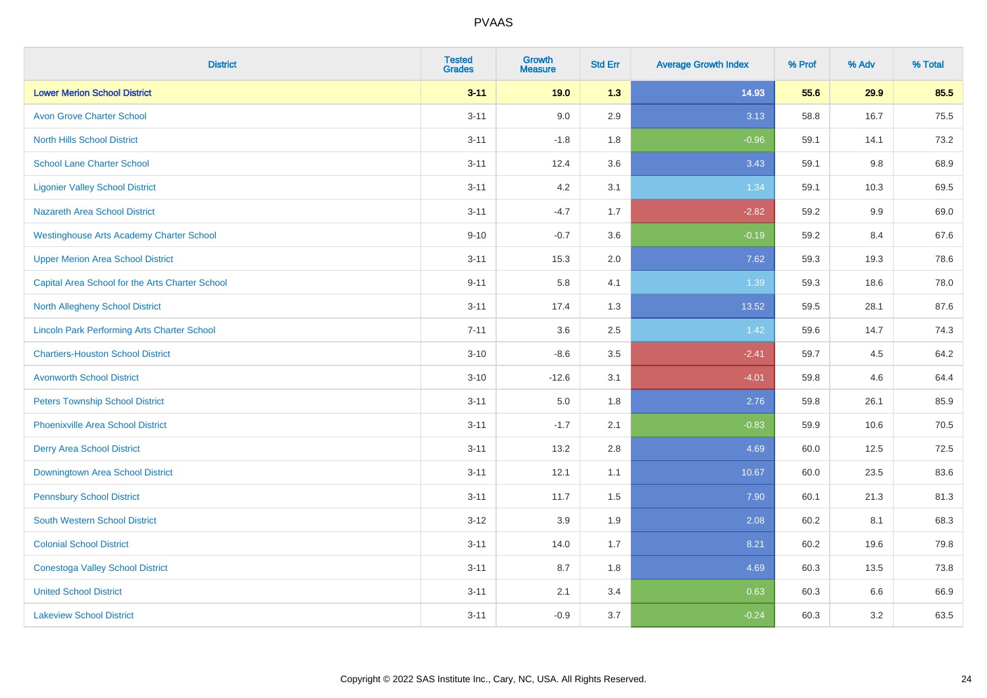| <b>District</b>                                    | <b>Tested</b><br><b>Grades</b> | <b>Growth</b><br><b>Measure</b> | <b>Std Err</b> | <b>Average Growth Index</b> | % Prof | % Adv   | % Total |
|----------------------------------------------------|--------------------------------|---------------------------------|----------------|-----------------------------|--------|---------|---------|
| <b>Lower Merion School District</b>                | $3 - 11$                       | 19.0                            | 1.3            | 14.93                       | 55.6   | 29.9    | 85.5    |
| <b>Avon Grove Charter School</b>                   | $3 - 11$                       | 9.0                             | 2.9            | 3.13                        | 58.8   | 16.7    | 75.5    |
| <b>North Hills School District</b>                 | $3 - 11$                       | $-1.8$                          | 1.8            | $-0.96$                     | 59.1   | 14.1    | 73.2    |
| <b>School Lane Charter School</b>                  | $3 - 11$                       | 12.4                            | 3.6            | 3.43                        | 59.1   | $9.8\,$ | 68.9    |
| <b>Ligonier Valley School District</b>             | $3 - 11$                       | 4.2                             | 3.1            | 1.34                        | 59.1   | 10.3    | 69.5    |
| <b>Nazareth Area School District</b>               | $3 - 11$                       | $-4.7$                          | 1.7            | $-2.82$                     | 59.2   | 9.9     | 69.0    |
| <b>Westinghouse Arts Academy Charter School</b>    | $9 - 10$                       | $-0.7$                          | 3.6            | $-0.19$                     | 59.2   | 8.4     | 67.6    |
| <b>Upper Merion Area School District</b>           | $3 - 11$                       | 15.3                            | 2.0            | 7.62                        | 59.3   | 19.3    | 78.6    |
| Capital Area School for the Arts Charter School    | $9 - 11$                       | 5.8                             | 4.1            | 1.39                        | 59.3   | 18.6    | 78.0    |
| North Allegheny School District                    | $3 - 11$                       | 17.4                            | 1.3            | 13.52                       | 59.5   | 28.1    | 87.6    |
| <b>Lincoln Park Performing Arts Charter School</b> | $7 - 11$                       | 3.6                             | 2.5            | 1.42                        | 59.6   | 14.7    | 74.3    |
| <b>Chartiers-Houston School District</b>           | $3 - 10$                       | $-8.6$                          | 3.5            | $-2.41$                     | 59.7   | 4.5     | 64.2    |
| <b>Avonworth School District</b>                   | $3 - 10$                       | $-12.6$                         | 3.1            | $-4.01$                     | 59.8   | 4.6     | 64.4    |
| <b>Peters Township School District</b>             | $3 - 11$                       | 5.0                             | 1.8            | 2.76                        | 59.8   | 26.1    | 85.9    |
| <b>Phoenixville Area School District</b>           | $3 - 11$                       | $-1.7$                          | 2.1            | $-0.83$                     | 59.9   | 10.6    | 70.5    |
| <b>Derry Area School District</b>                  | $3 - 11$                       | 13.2                            | 2.8            | 4.69                        | 60.0   | 12.5    | 72.5    |
| Downingtown Area School District                   | $3 - 11$                       | 12.1                            | 1.1            | 10.67                       | 60.0   | 23.5    | 83.6    |
| <b>Pennsbury School District</b>                   | $3 - 11$                       | 11.7                            | 1.5            | 7.90                        | 60.1   | 21.3    | 81.3    |
| <b>South Western School District</b>               | $3 - 12$                       | 3.9                             | 1.9            | 2.08                        | 60.2   | 8.1     | 68.3    |
| <b>Colonial School District</b>                    | $3 - 11$                       | 14.0                            | 1.7            | 8.21                        | 60.2   | 19.6    | 79.8    |
| <b>Conestoga Valley School District</b>            | $3 - 11$                       | 8.7                             | 1.8            | 4.69                        | 60.3   | 13.5    | 73.8    |
| <b>United School District</b>                      | $3 - 11$                       | 2.1                             | 3.4            | 0.63                        | 60.3   | 6.6     | 66.9    |
| <b>Lakeview School District</b>                    | $3 - 11$                       | $-0.9$                          | 3.7            | $-0.24$                     | 60.3   | 3.2     | 63.5    |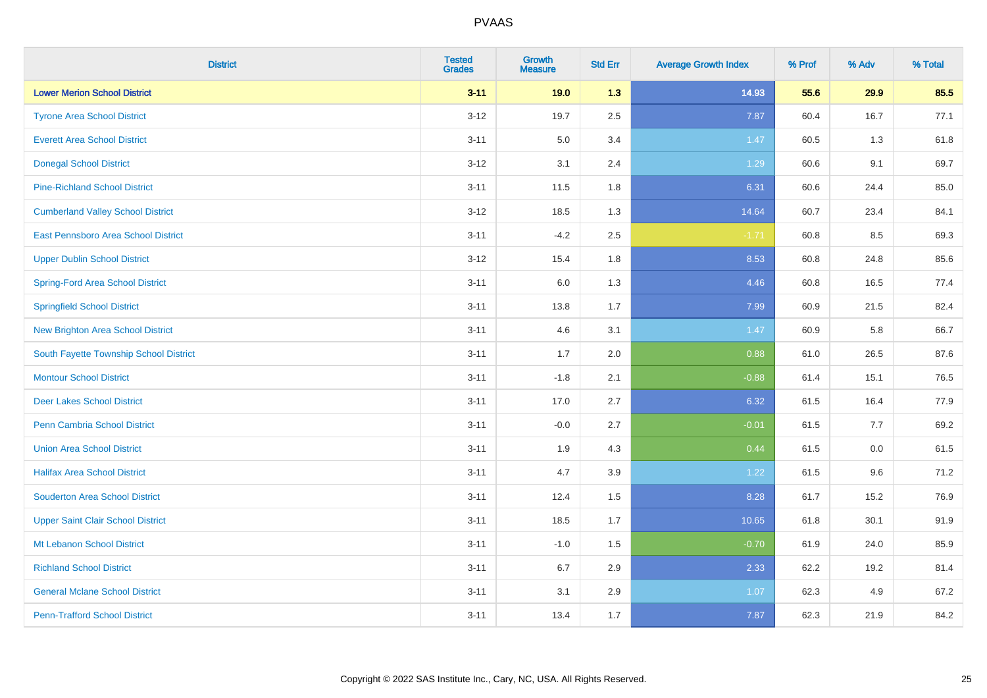| <b>District</b>                          | <b>Tested</b><br><b>Grades</b> | <b>Growth</b><br><b>Measure</b> | <b>Std Err</b> | <b>Average Growth Index</b> | % Prof | % Adv | % Total |
|------------------------------------------|--------------------------------|---------------------------------|----------------|-----------------------------|--------|-------|---------|
| <b>Lower Merion School District</b>      | $3 - 11$                       | 19.0                            | 1.3            | 14.93                       | 55.6   | 29.9  | 85.5    |
| <b>Tyrone Area School District</b>       | $3 - 12$                       | 19.7                            | 2.5            | 7.87                        | 60.4   | 16.7  | 77.1    |
| <b>Everett Area School District</b>      | $3 - 11$                       | 5.0                             | 3.4            | 1.47                        | 60.5   | 1.3   | 61.8    |
| <b>Donegal School District</b>           | $3 - 12$                       | 3.1                             | 2.4            | 1.29                        | 60.6   | 9.1   | 69.7    |
| <b>Pine-Richland School District</b>     | $3 - 11$                       | 11.5                            | 1.8            | 6.31                        | 60.6   | 24.4  | 85.0    |
| <b>Cumberland Valley School District</b> | $3-12$                         | 18.5                            | 1.3            | 14.64                       | 60.7   | 23.4  | 84.1    |
| East Pennsboro Area School District      | $3 - 11$                       | $-4.2$                          | 2.5            | $-1.71$                     | 60.8   | 8.5   | 69.3    |
| <b>Upper Dublin School District</b>      | $3 - 12$                       | 15.4                            | 1.8            | 8.53                        | 60.8   | 24.8  | 85.6    |
| <b>Spring-Ford Area School District</b>  | $3 - 11$                       | 6.0                             | 1.3            | 4.46                        | 60.8   | 16.5  | 77.4    |
| <b>Springfield School District</b>       | $3 - 11$                       | 13.8                            | 1.7            | 7.99                        | 60.9   | 21.5  | 82.4    |
| <b>New Brighton Area School District</b> | $3 - 11$                       | 4.6                             | 3.1            | 1.47                        | 60.9   | 5.8   | 66.7    |
| South Fayette Township School District   | $3 - 11$                       | 1.7                             | 2.0            | 0.88                        | 61.0   | 26.5  | 87.6    |
| <b>Montour School District</b>           | $3 - 11$                       | $-1.8$                          | 2.1            | $-0.88$                     | 61.4   | 15.1  | 76.5    |
| <b>Deer Lakes School District</b>        | $3 - 11$                       | 17.0                            | 2.7            | 6.32                        | 61.5   | 16.4  | 77.9    |
| <b>Penn Cambria School District</b>      | $3 - 11$                       | $-0.0$                          | 2.7            | $-0.01$                     | 61.5   | 7.7   | 69.2    |
| <b>Union Area School District</b>        | $3 - 11$                       | 1.9                             | 4.3            | 0.44                        | 61.5   | 0.0   | 61.5    |
| <b>Halifax Area School District</b>      | $3 - 11$                       | 4.7                             | 3.9            | 1.22                        | 61.5   | 9.6   | 71.2    |
| <b>Souderton Area School District</b>    | $3 - 11$                       | 12.4                            | 1.5            | 8.28                        | 61.7   | 15.2  | 76.9    |
| <b>Upper Saint Clair School District</b> | $3 - 11$                       | 18.5                            | 1.7            | 10.65                       | 61.8   | 30.1  | 91.9    |
| Mt Lebanon School District               | $3 - 11$                       | $-1.0$                          | 1.5            | $-0.70$                     | 61.9   | 24.0  | 85.9    |
| <b>Richland School District</b>          | $3 - 11$                       | 6.7                             | 2.9            | 2.33                        | 62.2   | 19.2  | 81.4    |
| <b>General Mclane School District</b>    | $3 - 11$                       | 3.1                             | 2.9            | 1.07                        | 62.3   | 4.9   | 67.2    |
| <b>Penn-Trafford School District</b>     | $3 - 11$                       | 13.4                            | 1.7            | 7.87                        | 62.3   | 21.9  | 84.2    |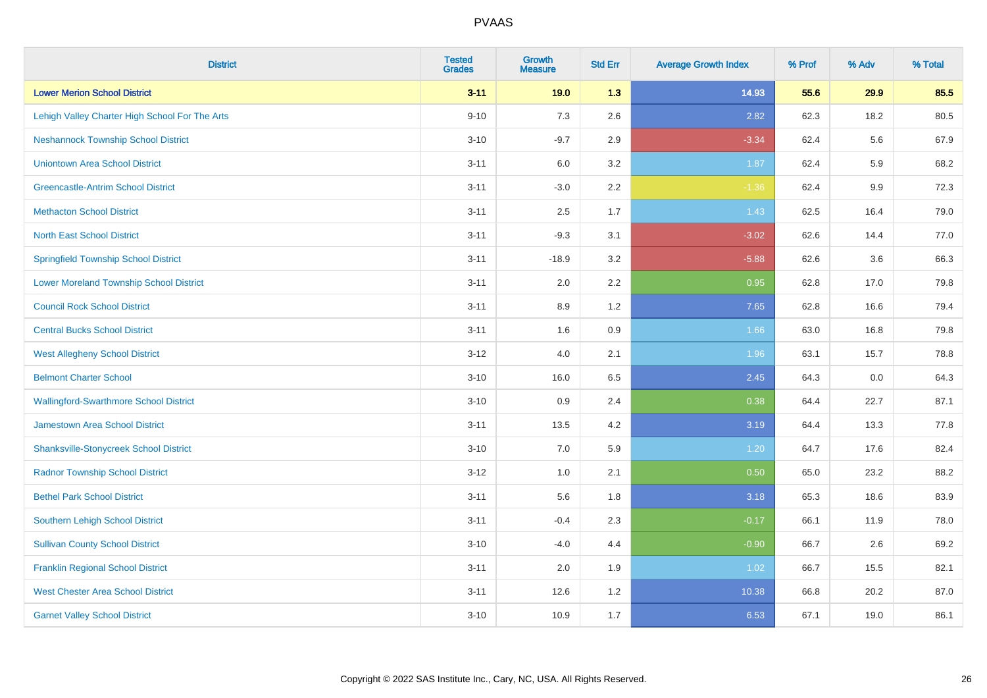| <b>District</b>                                | <b>Tested</b><br><b>Grades</b> | <b>Growth</b><br><b>Measure</b> | <b>Std Err</b> | <b>Average Growth Index</b> | % Prof | % Adv | % Total |
|------------------------------------------------|--------------------------------|---------------------------------|----------------|-----------------------------|--------|-------|---------|
| <b>Lower Merion School District</b>            | $3 - 11$                       | 19.0                            | 1.3            | 14.93                       | 55.6   | 29.9  | 85.5    |
| Lehigh Valley Charter High School For The Arts | $9 - 10$                       | $7.3$                           | 2.6            | 2.82                        | 62.3   | 18.2  | 80.5    |
| <b>Neshannock Township School District</b>     | $3 - 10$                       | $-9.7$                          | 2.9            | $-3.34$                     | 62.4   | 5.6   | 67.9    |
| <b>Uniontown Area School District</b>          | $3 - 11$                       | $6.0\,$                         | 3.2            | 1.87                        | 62.4   | 5.9   | 68.2    |
| <b>Greencastle-Antrim School District</b>      | $3 - 11$                       | $-3.0$                          | 2.2            | $-1.36$                     | 62.4   | 9.9   | 72.3    |
| <b>Methacton School District</b>               | $3 - 11$                       | 2.5                             | 1.7            | 1.43                        | 62.5   | 16.4  | 79.0    |
| <b>North East School District</b>              | $3 - 11$                       | $-9.3$                          | 3.1            | $-3.02$                     | 62.6   | 14.4  | 77.0    |
| <b>Springfield Township School District</b>    | $3 - 11$                       | $-18.9$                         | 3.2            | $-5.88$                     | 62.6   | 3.6   | 66.3    |
| <b>Lower Moreland Township School District</b> | $3 - 11$                       | 2.0                             | 2.2            | 0.95                        | 62.8   | 17.0  | 79.8    |
| <b>Council Rock School District</b>            | $3 - 11$                       | 8.9                             | 1.2            | 7.65                        | 62.8   | 16.6  | 79.4    |
| <b>Central Bucks School District</b>           | $3 - 11$                       | 1.6                             | 0.9            | 1.66                        | 63.0   | 16.8  | 79.8    |
| <b>West Allegheny School District</b>          | $3 - 12$                       | 4.0                             | 2.1            | 1.96                        | 63.1   | 15.7  | 78.8    |
| <b>Belmont Charter School</b>                  | $3 - 10$                       | 16.0                            | 6.5            | 2.45                        | 64.3   | 0.0   | 64.3    |
| <b>Wallingford-Swarthmore School District</b>  | $3 - 10$                       | $0.9\,$                         | 2.4            | 0.38                        | 64.4   | 22.7  | 87.1    |
| <b>Jamestown Area School District</b>          | $3 - 11$                       | 13.5                            | 4.2            | 3.19                        | 64.4   | 13.3  | 77.8    |
| <b>Shanksville-Stonycreek School District</b>  | $3 - 10$                       | 7.0                             | 5.9            | 1.20                        | 64.7   | 17.6  | 82.4    |
| <b>Radnor Township School District</b>         | $3 - 12$                       | $1.0\,$                         | 2.1            | 0.50                        | 65.0   | 23.2  | 88.2    |
| <b>Bethel Park School District</b>             | $3 - 11$                       | 5.6                             | 1.8            | 3.18                        | 65.3   | 18.6  | 83.9    |
| <b>Southern Lehigh School District</b>         | $3 - 11$                       | $-0.4$                          | 2.3            | $-0.17$                     | 66.1   | 11.9  | 78.0    |
| <b>Sullivan County School District</b>         | $3 - 10$                       | $-4.0$                          | 4.4            | $-0.90$                     | 66.7   | 2.6   | 69.2    |
| <b>Franklin Regional School District</b>       | $3 - 11$                       | 2.0                             | 1.9            | 1.02                        | 66.7   | 15.5  | 82.1    |
| <b>West Chester Area School District</b>       | $3 - 11$                       | 12.6                            | 1.2            | 10.38                       | 66.8   | 20.2  | 87.0    |
| <b>Garnet Valley School District</b>           | $3 - 10$                       | 10.9                            | 1.7            | 6.53                        | 67.1   | 19.0  | 86.1    |